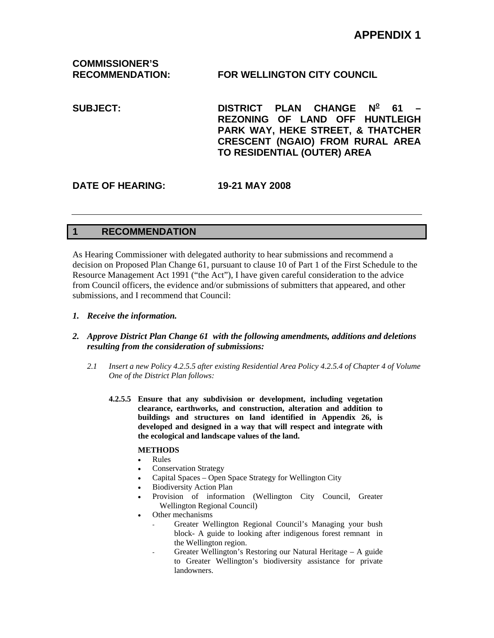# **COMMISSIONER'S**

**RECOMMENDATION: FOR WELLINGTON CITY COUNCIL** 

**SUBJECT: DISTRICT PLAN CHANGE N<sup>o</sup>**  $N^2$  61 **REZONING OF LAND OFF HUNTLEIGH PARK WAY, HEKE STREET, & THATCHER CRESCENT (NGAIO) FROM RURAL AREA TO RESIDENTIAL (OUTER) AREA** 

# **DATE OF HEARING: 19-21 MAY 2008**

# **1 RECOMMENDATION**

As Hearing Commissioner with delegated authority to hear submissions and recommend a decision on Proposed Plan Change 61, pursuant to clause 10 of Part 1 of the First Schedule to the Resource Management Act 1991 ("the Act"), I have given careful consideration to the advice from Council officers, the evidence and/or submissions of submitters that appeared, and other submissions, and I recommend that Council:

#### *1. Receive the information.*

#### *2. Approve District Plan Change 61 with the following amendments, additions and deletions resulting from the consideration of submissions:*

- *2.1 Insert a new Policy 4.2.5.5 after existing Residential Area Policy 4.2.5.4 of Chapter 4 of Volume One of the District Plan follows:* 
	- **4.2.5.5 Ensure that any subdivision or development, including vegetation clearance, earthworks, and construction, alteration and addition to buildings and structures on land identified in Appendix 26, is developed and designed in a way that will respect and integrate with the ecological and landscape values of the land.**

#### **METHODS**

- Rules
- Conservation Strategy
- Capital Spaces Open Space Strategy for Wellington City
- Biodiversity Action Plan
- Provision of information (Wellington City Council, Greater Wellington Regional Council)
- Other mechanisms
	- Greater Wellington Regional Council's Managing your bush block- A guide to looking after indigenous forest remnant in the Wellington region.
	- Greater Wellington's Restoring our Natural Heritage A guide to Greater Wellington's biodiversity assistance for private landowners.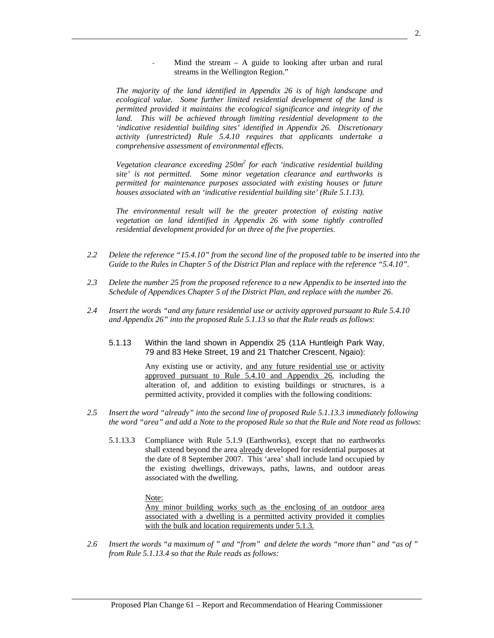Mind the stream  $- A$  guide to looking after urban and rural streams in the Wellington Region."

*The majority of the land identified in Appendix 26 is of high landscape and ecological value. Some further limited residential development of the land is permitted provided it maintains the ecological significance and integrity of the*  land. This will be achieved through limiting residential development to the *'indicative residential building sites' identified in Appendix 26. Discretionary activity (unrestricted) Rule 5.4.10 requires that applicants undertake a comprehensive assessment of environmental effects.* 

*Vegetation clearance exceeding 250m2 for each 'indicative residential building site' is not permitted. Some minor vegetation clearance and earthworks is permitted for maintenance purposes associated with existing houses or future houses associated with an 'indicative residential building site' (Rule 5.1.13).* 

*The environmental result will be the greater protection of existing native vegetation on land identified in Appendix 26 with some tightly controlled residential development provided for on three of the five properties.* 

- *2.2 Delete the reference "15.4.10" from the second line of the proposed table to be inserted into the Guide to the Rules in Chapter 5 of the District Plan and replace with the reference "5.4.10".*
- *2.3 Delete the number 25 from the proposed reference to a new Appendix to be inserted into the Schedule of Appendices Chapter 5 of the District Plan, and replace with the number 26*.
- *2.4 Insert the words "and any future residential use or activity approved pursuant to Rule 5.4.10 and Appendix 26" into the proposed Rule 5.1.13 so that the Rule reads as follows*:
	- 5.1.13 Within the land shown in Appendix 25 (11A Huntleigh Park Way, 79 and 83 Heke Street, 19 and 21 Thatcher Crescent, Ngaio):

Any existing use or activity, and any future residential use or activity approved pursuant to Rule 5.4.10 and Appendix 26, including the alteration of, and addition to existing buildings or structures, is a permitted activity, provided it complies with the following conditions:

- *2.5 Insert the word "already" into the second line of proposed Rule 5.1.13.3 immediately following the word "area" and add a Note to the proposed Rule so that the Rule and Note read as follows*:
	- 5.1.13.3 Compliance with Rule 5.1.9 (Earthworks), except that no earthworks shall extend beyond the area already developed for residential purposes at the date of 8 September 2007. This 'area' shall include land occupied by the existing dwellings, driveways, paths, lawns, and outdoor areas associated with the dwelling.

Note:

Any minor building works such as the enclosing of an outdoor area associated with a dwelling is a permitted activity provided it complies with the bulk and location requirements under  $5.1.3$ .

*2.6 Insert the words "a maximum of " and "from" and delete the words "more than" and "as of " from Rule 5.1.13.4 so that the Rule reads as follows:*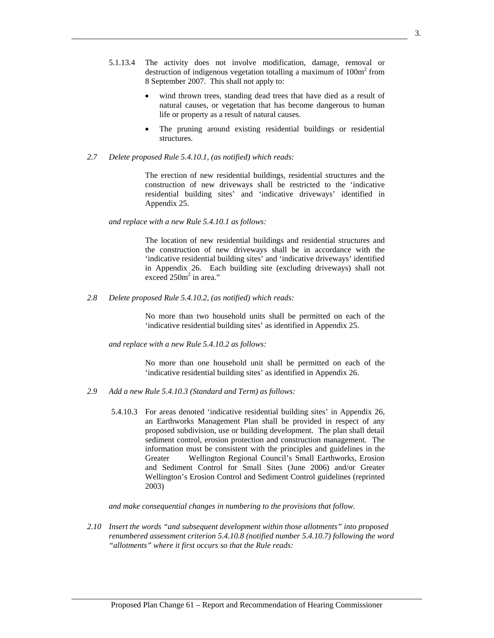- 5.1.13.4 The activity does not involve modification, damage, removal or destruction of indigenous vegetation totalling a maximum of  $100m<sup>2</sup>$  from 8 September 2007. This shall not apply to:
	- wind thrown trees, standing dead trees that have died as a result of natural causes, or vegetation that has become dangerous to human life or property as a result of natural causes.
	- The pruning around existing residential buildings or residential structures.
- *2.7 Delete proposed Rule 5.4.10.1, (as notified) which reads:*

The erection of new residential buildings, residential structures and the construction of new driveways shall be restricted to the 'indicative residential building sites' and 'indicative driveways' identified in Appendix 25.

#### *and replace with a new Rule 5.4.10.1 as follows:*

The location of new residential buildings and residential structures and the construction of new driveways shall be in accordance with the 'indicative residential building sites' and 'indicative driveways' identified in Appendix 26. Each building site (excluding driveways) shall not exceed  $250m^2$  in area."

*2.8 Delete proposed Rule 5.4.10.2, (as notified) which reads:* 

No more than two household units shall be permitted on each of the 'indicative residential building sites' as identified in Appendix 25.

*and replace with a new Rule 5.4.10.2 as follows:* 

No more than one household unit shall be permitted on each of the 'indicative residential building sites' as identified in Appendix 26.

- *2.9 Add a new Rule 5.4.10.3 (Standard and Term) as follows:* 
	- 5.4.10.3 For areas denoted 'indicative residential building sites' in Appendix 26, an Earthworks Management Plan shall be provided in respect of any proposed subdivision, use or building development. The plan shall detail sediment control, erosion protection and construction management. The information must be consistent with the principles and guidelines in the Greater Wellington Regional Council's Small Earthworks, Erosion and Sediment Control for Small Sites (June 2006) and/or Greater Wellington's Erosion Control and Sediment Control guidelines (reprinted 2003)

*and make consequential changes in numbering to the provisions that follow.* 

*2.10 Insert the words "and subsequent development within those allotments" into proposed renumbered assessment criterion 5.4.10.8 (notified number 5.4.10.7) following the word "allotments" where it first occurs so that the Rule reads:*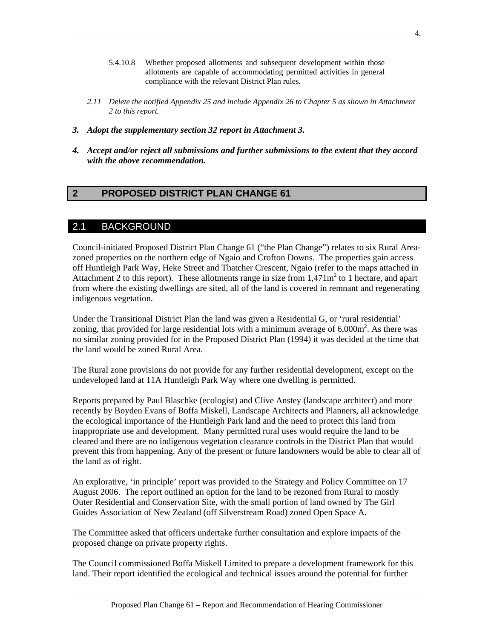- 5.4.10.8 Whether proposed allotments and subsequent development within those allotments are capable of accommodating permitted activities in general compliance with the relevant District Plan rules.
- *2.11 Delete the notified Appendix 25 and include Appendix 26 to Chapter 5 as shown in Attachment 2 to this report.*
- *3. Adopt the supplementary section 32 report in Attachment 3.*
- *4. Accept and/or reject all submissions and further submissions to the extent that they accord with the above recommendation.*

# **2 PROPOSED DISTRICT PLAN CHANGE 61**

# 2.1 BACKGROUND

Council-initiated Proposed District Plan Change 61 ("the Plan Change") relates to six Rural Areazoned properties on the northern edge of Ngaio and Crofton Downs. The properties gain access off Huntleigh Park Way, Heke Street and Thatcher Crescent, Ngaio (refer to the maps attached in Attachment 2 to this report). These allotments range in size from  $1,471\,\text{m}^2$  to 1 hectare, and apart from where the existing dwellings are sited, all of the land is covered in remnant and regenerating indigenous vegetation.

Under the Transitional District Plan the land was given a Residential G, or 'rural residential' zoning, that provided for large residential lots with a minimum average of  $6,000$ m<sup>2</sup>. As there was no similar zoning provided for in the Proposed District Plan (1994) it was decided at the time that the land would be zoned Rural Area.

The Rural zone provisions do not provide for any further residential development, except on the undeveloped land at 11A Huntleigh Park Way where one dwelling is permitted.

Reports prepared by Paul Blaschke (ecologist) and Clive Anstey (landscape architect) and more recently by Boyden Evans of Boffa Miskell, Landscape Architects and Planners, all acknowledge the ecological importance of the Huntleigh Park land and the need to protect this land from inappropriate use and development. Many permitted rural uses would require the land to be cleared and there are no indigenous vegetation clearance controls in the District Plan that would prevent this from happening. Any of the present or future landowners would be able to clear all of the land as of right.

An explorative, 'in principle' report was provided to the Strategy and Policy Committee on 17 August 2006. The report outlined an option for the land to be rezoned from Rural to mostly Outer Residential and Conservation Site, with the small portion of land owned by The Girl Guides Association of New Zealand (off Silverstream Road) zoned Open Space A.

The Committee asked that officers undertake further consultation and explore impacts of the proposed change on private property rights.

The Council commissioned Boffa Miskell Limited to prepare a development framework for this land. Their report identified the ecological and technical issues around the potential for further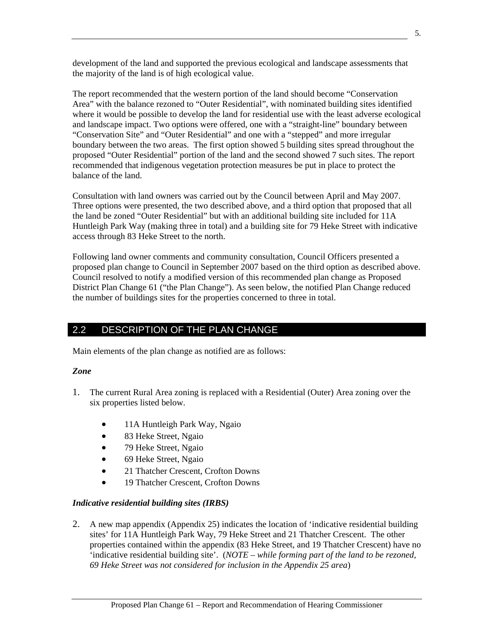development of the land and supported the previous ecological and landscape assessments that the majority of the land is of high ecological value.

The report recommended that the western portion of the land should become "Conservation Area" with the balance rezoned to "Outer Residential", with nominated building sites identified where it would be possible to develop the land for residential use with the least adverse ecological and landscape impact. Two options were offered, one with a "straight-line" boundary between "Conservation Site" and "Outer Residential" and one with a "stepped" and more irregular boundary between the two areas. The first option showed 5 building sites spread throughout the proposed "Outer Residential" portion of the land and the second showed 7 such sites. The report recommended that indigenous vegetation protection measures be put in place to protect the balance of the land.

Consultation with land owners was carried out by the Council between April and May 2007. Three options were presented, the two described above, and a third option that proposed that all the land be zoned "Outer Residential" but with an additional building site included for 11A Huntleigh Park Way (making three in total) and a building site for 79 Heke Street with indicative access through 83 Heke Street to the north.

Following land owner comments and community consultation, Council Officers presented a proposed plan change to Council in September 2007 based on the third option as described above. Council resolved to notify a modified version of this recommended plan change as Proposed District Plan Change 61 ("the Plan Change"). As seen below, the notified Plan Change reduced the number of buildings sites for the properties concerned to three in total.

# 2.2 DESCRIPTION OF THE PLAN CHANGE

Main elements of the plan change as notified are as follows:

#### *Zone*

- 1. The current Rural Area zoning is replaced with a Residential (Outer) Area zoning over the six properties listed below.
	- 11A Huntleigh Park Way, Ngaio
	- 83 Heke Street, Ngaio
	- 79 Heke Street, Ngaio
	- 69 Heke Street, Ngaio
	- 21 Thatcher Crescent, Crofton Downs
	- 19 Thatcher Crescent, Crofton Downs

# *Indicative residential building sites (IRBS)*

2. A new map appendix (Appendix 25) indicates the location of 'indicative residential building sites' for 11A Huntleigh Park Way, 79 Heke Street and 21 Thatcher Crescent. The other properties contained within the appendix (83 Heke Street, and 19 Thatcher Crescent) have no 'indicative residential building site'. (*NOTE – while forming part of the land to be rezoned, 69 Heke Street was not considered for inclusion in the Appendix 25 area*)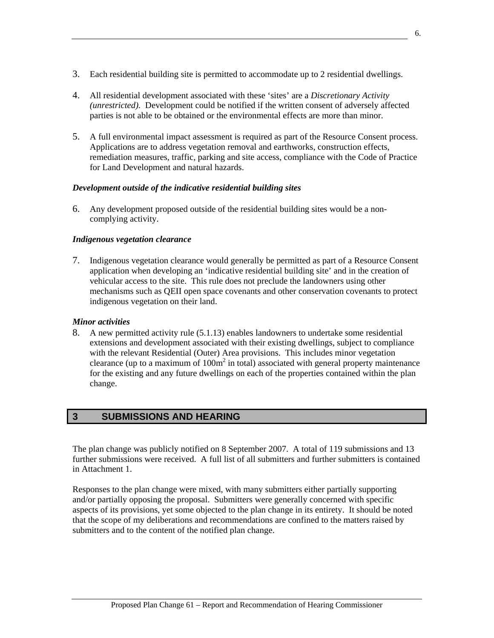- 3. Each residential building site is permitted to accommodate up to 2 residential dwellings.
- 4. All residential development associated with these 'sites' are a *Discretionary Activity (unrestricted).* Development could be notified if the written consent of adversely affected parties is not able to be obtained or the environmental effects are more than minor.
- 5. A full environmental impact assessment is required as part of the Resource Consent process. Applications are to address vegetation removal and earthworks, construction effects, remediation measures, traffic, parking and site access, compliance with the Code of Practice for Land Development and natural hazards.

#### *Development outside of the indicative residential building sites*

6. Any development proposed outside of the residential building sites would be a non complying activity.

## *Indigenous vegetation clearance*

7. Indigenous vegetation clearance would generally be permitted as part of a Resource Consent application when developing an 'indicative residential building site' and in the creation of vehicular access to the site. This rule does not preclude the landowners using other mechanisms such as QEII open space covenants and other conservation covenants to protect indigenous vegetation on their land.

#### *Minor activities*

8. A new permitted activity rule (5.1.13) enables landowners to undertake some residential extensions and development associated with their existing dwellings, subject to compliance with the relevant Residential (Outer) Area provisions. This includes minor vegetation clearance (up to a maximum of  $100m<sup>2</sup>$  in total) associated with general property maintenance for the existing and any future dwellings on each of the properties contained within the plan change.

# **3 SUBMISSIONS AND HEARING**

The plan change was publicly notified on 8 September 2007. A total of 119 submissions and 13 further submissions were received. A full list of all submitters and further submitters is contained in Attachment 1.

Responses to the plan change were mixed, with many submitters either partially supporting and/or partially opposing the proposal. Submitters were generally concerned with specific aspects of its provisions, yet some objected to the plan change in its entirety. It should be noted that the scope of my deliberations and recommendations are confined to the matters raised by submitters and to the content of the notified plan change.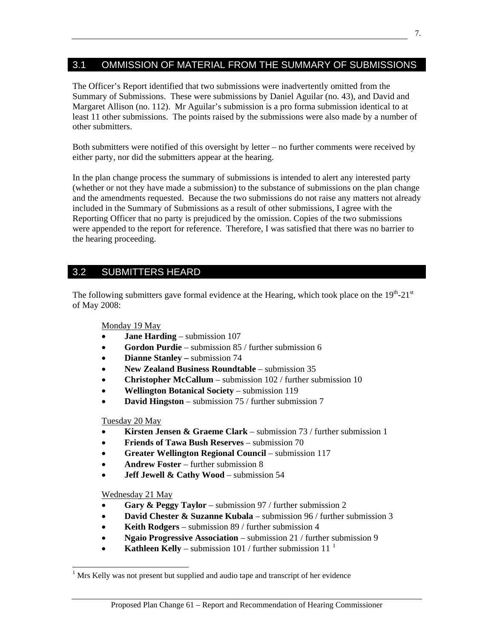# 3.1 OMMISSION OF MATERIAL FROM THE SUMMARY OF SUBMISSIONS

The Officer's Report identified that two submissions were inadvertently omitted from the Summary of Submissions. These were submissions by Daniel Aguilar (no. 43), and David and Margaret Allison (no. 112). Mr Aguilar's submission is a pro forma submission identical to at least 11 other submissions. The points raised by the submissions were also made by a number of other submitters.

Both submitters were notified of this oversight by letter – no further comments were received by either party, nor did the submitters appear at the hearing.

In the plan change process the summary of submissions is intended to alert any interested party (whether or not they have made a submission) to the substance of submissions on the plan change and the amendments requested. Because the two submissions do not raise any matters not already included in the Summary of Submissions as a result of other submissions, I agree with the Reporting Officer that no party is prejudiced by the omission. Copies of the two submissions were appended to the report for reference. Therefore, I was satisfied that there was no barrier to the hearing proceeding.

# 3.2 SUBMITTERS HEARD

The following submitters gave formal evidence at the Hearing, which took place on the  $19<sup>th</sup>-21<sup>st</sup>$ of May 2008:

# Monday 19 May

- **Jane Harding** submission 107
- **Gordon Purdie** submission 85 / further submission 6
- **Dianne Stanley** submission 74
- **New Zealand Business Roundtable** submission 35
- **Christopher McCallum** submission 102 / further submission 10
- **Wellington Botanical Society** submission 119
- **David Hingston** submission 75 / further submission 7

# Tuesday 20 May

- **Kirsten Jensen & Graeme Clark**  submission 73 / further submission 1
- **Friends of Tawa Bush Reserves** submission 70
- **Greater Wellington Regional Council** submission 117
- **Andrew Foster** further submission 8
- **Jeff Jewell & Cathy Wood** submission 54

Wednesday 21 May

 $\overline{a}$ 

- **Gary & Peggy Taylor**  submission 97 / further submission 2
- **David Chester & Suzanne Kubala** submission 96 / further submission 3
- **Keith Rodgers** submission 89 / further submission 4
- **Ngaio Progressive Association** submission 21 / further submission 9
- **Kathleen Kelly** submission [1](#page-6-0)01 / further submission  $11^{-1}$

<span id="page-6-0"></span> $<sup>1</sup>$  Mrs Kelly was not present but supplied and audio tape and transcript of her evidence</sup>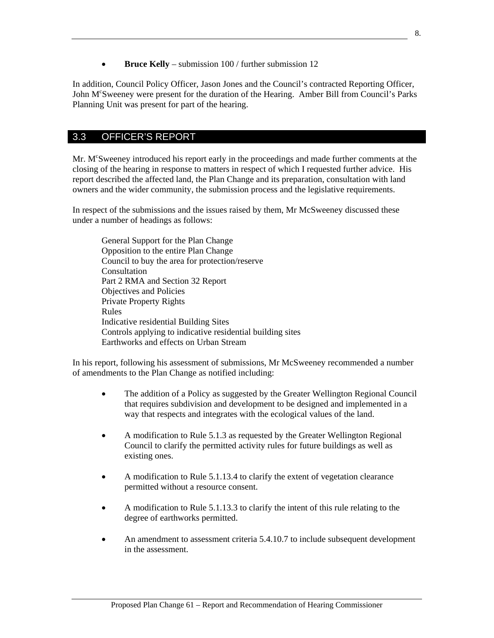• **Bruce Kelly** – submission 100 / further submission 12

In addition, Council Policy Officer, Jason Jones and the Council's contracted Reporting Officer, John M°Sweeney were present for the duration of the Hearing. Amber Bill from Council's Parks Planning Unit was present for part of the hearing.

# 3.3 OFFICER'S REPORT

Mr. M<sup>c</sup>Sweeney introduced his report early in the proceedings and made further comments at the closing of the hearing in response to matters in respect of which I requested further advice. His report described the affected land, the Plan Change and its preparation, consultation with land owners and the wider community, the submission process and the legislative requirements.

In respect of the submissions and the issues raised by them, Mr McSweeney discussed these under a number of headings as follows:

 General Support for the Plan Change Opposition to the entire Plan Change Council to buy the area for protection/reserve Consultation Part 2 RMA and Section 32 Report Objectives and Policies Private Property Rights Rules Indicative residential Building Sites Controls applying to indicative residential building sites Earthworks and effects on Urban Stream

In his report, following his assessment of submissions, Mr McSweeney recommended a number of amendments to the Plan Change as notified including:

- The addition of a Policy as suggested by the Greater Wellington Regional Council that requires subdivision and development to be designed and implemented in a way that respects and integrates with the ecological values of the land.
- A modification to Rule 5.1.3 as requested by the Greater Wellington Regional Council to clarify the permitted activity rules for future buildings as well as existing ones.
- A modification to Rule 5.1.13.4 to clarify the extent of vegetation clearance permitted without a resource consent.
- A modification to Rule 5.1.13.3 to clarify the intent of this rule relating to the degree of earthworks permitted.
- An amendment to assessment criteria 5.4.10.7 to include subsequent development in the assessment.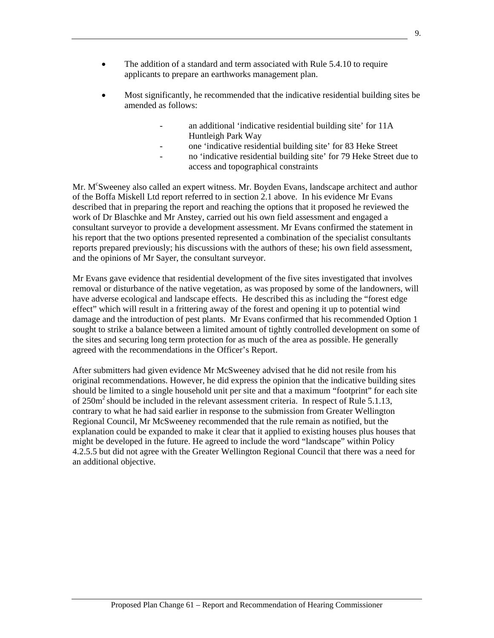- The addition of a standard and term associated with Rule 5.4.10 to require applicants to prepare an earthworks management plan.
- Most significantly, he recommended that the indicative residential building sites be amended as follows:
	- an additional 'indicative residential building site' for 11A Huntleigh Park Way
	- one 'indicative residential building site' for 83 Heke Street
	- no 'indicative residential building site' for 79 Heke Street due to access and topographical constraints

Mr. M°Sweeney also called an expert witness. Mr. Boyden Evans, landscape architect and author of the Boffa Miskell Ltd report referred to in section 2.1 above. In his evidence Mr Evans described that in preparing the report and reaching the options that it proposed he reviewed the work of Dr Blaschke and Mr Anstey, carried out his own field assessment and engaged a consultant surveyor to provide a development assessment. Mr Evans confirmed the statement in his report that the two options presented represented a combination of the specialist consultants reports prepared previously; his discussions with the authors of these; his own field assessment, and the opinions of Mr Sayer, the consultant surveyor.

Mr Evans gave evidence that residential development of the five sites investigated that involves removal or disturbance of the native vegetation, as was proposed by some of the landowners, will have adverse ecological and landscape effects. He described this as including the "forest edge effect" which will result in a frittering away of the forest and opening it up to potential wind damage and the introduction of pest plants. Mr Evans confirmed that his recommended Option 1 sought to strike a balance between a limited amount of tightly controlled development on some of the sites and securing long term protection for as much of the area as possible. He generally agreed with the recommendations in the Officer's Report.

After submitters had given evidence Mr McSweeney advised that he did not resile from his original recommendations. However, he did express the opinion that the indicative building sites should be limited to a single household unit per site and that a maximum "footprint" for each site of  $250m^2$  should be included in the relevant assessment criteria. In respect of Rule 5.1.13, contrary to what he had said earlier in response to the submission from Greater Wellington Regional Council, Mr McSweeney recommended that the rule remain as notified, but the explanation could be expanded to make it clear that it applied to existing houses plus houses that might be developed in the future. He agreed to include the word "landscape" within Policy 4.2.5.5 but did not agree with the Greater Wellington Regional Council that there was a need for an additional objective.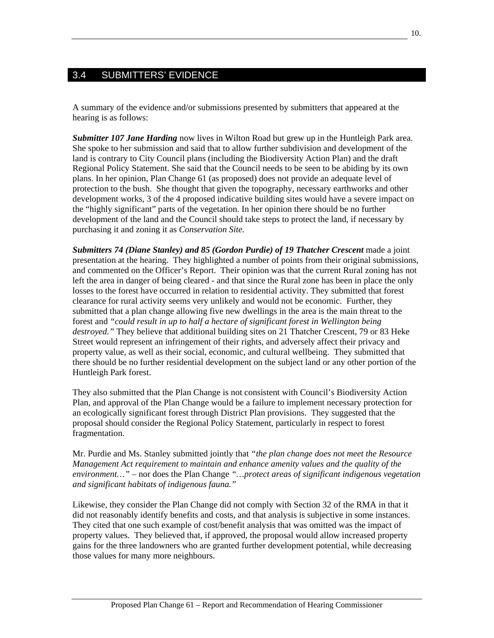# 3.4 SUBMITTERS' EVIDENCE

A summary of the evidence and/or submissions presented by submitters that appeared at the hearing is as follows:

*Submitter 107 Jane Harding* now lives in Wilton Road but grew up in the Huntleigh Park area. She spoke to her submission and said that to allow further subdivision and development of the land is contrary to City Council plans (including the Biodiversity Action Plan) and the draft Regional Policy Statement. She said that the Council needs to be seen to be abiding by its own plans. In her opinion, Plan Change 61 (as proposed) does not provide an adequate level of protection to the bush. She thought that given the topography, necessary earthworks and other development works, 3 of the 4 proposed indicative building sites would have a severe impact on the "highly significant" parts of the vegetation. In her opinion there should be no further development of the land and the Council should take steps to protect the land, if necessary by purchasing it and zoning it as *Conservation Site.*

*Submitters 74 (Diane Stanley) and 85 (Gordon Purdie) of 19 Thatcher Crescent* made a joint presentation at the hearing. They highlighted a number of points from their original submissions, and commented on the Officer's Report. Their opinion was that the current Rural zoning has not left the area in danger of being cleared - and that since the Rural zone has been in place the only losses to the forest have occurred in relation to residential activity. They submitted that forest clearance for rural activity seems very unlikely and would not be economic. Further, they submitted that a plan change allowing five new dwellings in the area is the main threat to the forest and *"could result in up to half a hectare of significant forest in Wellington being destroyed."* They believe that additional building sites on 21 Thatcher Crescent, 79 or 83 Heke Street would represent an infringement of their rights, and adversely affect their privacy and property value, as well as their social, economic, and cultural wellbeing. They submitted that there should be no further residential development on the subject land or any other portion of the Huntleigh Park forest.

They also submitted that the Plan Change is not consistent with Council's Biodiversity Action Plan, and approval of the Plan Change would be a failure to implement necessary protection for an ecologically significant forest through District Plan provisions. They suggested that the proposal should consider the Regional Policy Statement, particularly in respect to forest fragmentation.

Mr. Purdie and Ms. Stanley submitted jointly that *"the plan change does not meet the Resource Management Act requirement to maintain and enhance amenity values and the quality of the environment…"* – nor does the Plan Change *"…protect areas of significant indigenous vegetation and significant habitats of indigenous fauna."* 

Likewise, they consider the Plan Change did not comply with Section 32 of the RMA in that it did not reasonably identify benefits and costs, and that analysis is subjective in some instances. They cited that one such example of cost/benefit analysis that was omitted was the impact of property values. They believed that, if approved, the proposal would allow increased property gains for the three landowners who are granted further development potential, while decreasing those values for many more neighbours.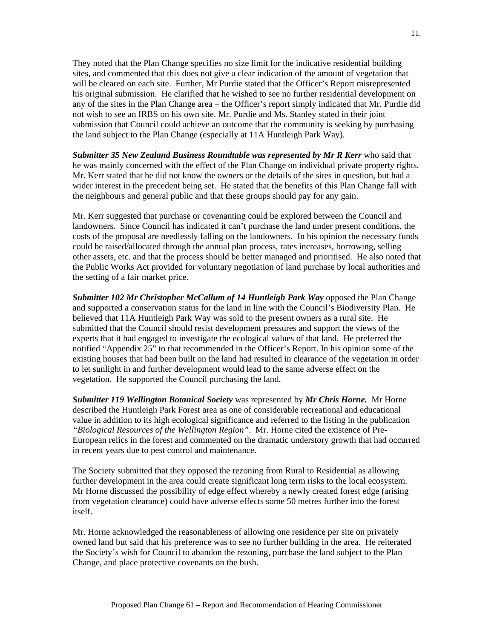They noted that the Plan Change specifies no size limit for the indicative residential building sites, and commented that this does not give a clear indication of the amount of vegetation that will be cleared on each site. Further, Mr Purdie stated that the Officer's Report misrepresented his original submission. He clarified that he wished to see no further residential development on any of the sites in the Plan Change area – the Officer's report simply indicated that Mr. Purdie did not wish to see an IRBS on his own site. Mr. Purdie and Ms. Stanley stated in their joint submission that Council could achieve an outcome that the community is seeking by purchasing the land subject to the Plan Change (especially at 11A Huntleigh Park Way).

**Submitter 35 New Zealand Business Roundtable was represented by Mr R Kerr** who said that he was mainly concerned with the effect of the Plan Change on individual private property rights. Mr. Kerr stated that he did not know the owners or the details of the sites in question, but had a wider interest in the precedent being set. He stated that the benefits of this Plan Change fall with the neighbours and general public and that these groups should pay for any gain.

Mr. Kerr suggested that purchase or covenanting could be explored between the Council and landowners. Since Council has indicated it can't purchase the land under present conditions, the costs of the proposal are needlessly falling on the landowners. In his opinion the necessary funds could be raised/allocated through the annual plan process, rates increases, borrowing, selling other assets, etc. and that the process should be better managed and prioritised. He also noted that the Public Works Act provided for voluntary negotiation of land purchase by local authorities and the setting of a fair market price.

**Submitter 102 Mr Christopher McCallum of 14 Huntleigh Park Way opposed the Plan Change** and supported a conservation status for the land in line with the Council's Biodiversity Plan. He believed that 11A Huntleigh Park Way was sold to the present owners as a rural site. He submitted that the Council should resist development pressures and support the views of the experts that it had engaged to investigate the ecological values of that land. He preferred the notified "Appendix 25" to that recommended in the Officer's Report. In his opinion some of the existing houses that had been built on the land had resulted in clearance of the vegetation in order to let sunlight in and further development would lead to the same adverse effect on the vegetation. He supported the Council purchasing the land.

*Submitter 119 Wellington Botanical Society* was represented by *Mr Chris Horne.* Mr Horne described the Huntleigh Park Forest area as one of considerable recreational and educational value in addition to its high ecological significance and referred to the listing in the publication *"Biological Resources of the Wellington Region"*. Mr. Horne cited the existence of Pre-European relics in the forest and commented on the dramatic understory growth that had occurred in recent years due to pest control and maintenance.

The Society submitted that they opposed the rezoning from Rural to Residential as allowing further development in the area could create significant long term risks to the local ecosystem. Mr Horne discussed the possibility of edge effect whereby a newly created forest edge (arising from vegetation clearance) could have adverse effects some 50 metres further into the forest itself.

Mr. Horne acknowledged the reasonableness of allowing one residence per site on privately owned land but said that his preference was to see no further building in the area. He reiterated the Society's wish for Council to abandon the rezoning, purchase the land subject to the Plan Change, and place protective covenants on the bush.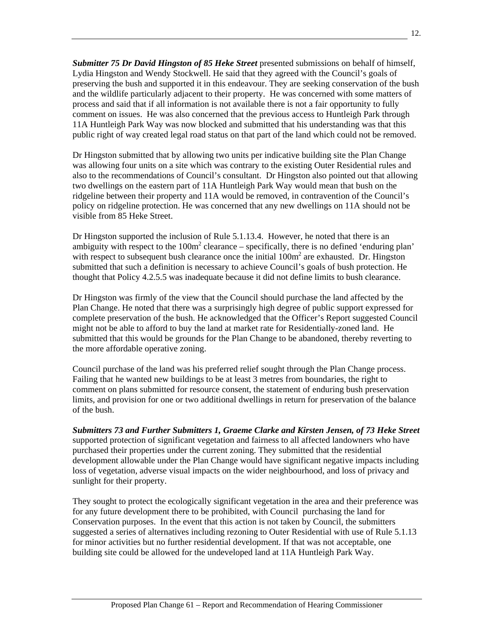*Submitter 75 Dr David Hingston of 85 Heke Street* presented submissions on behalf of himself, Lydia Hingston and Wendy Stockwell. He said that they agreed with the Council's goals of preserving the bush and supported it in this endeavour. They are seeking conservation of the bush and the wildlife particularly adjacent to their property. He was concerned with some matters of process and said that if all information is not available there is not a fair opportunity to fully comment on issues. He was also concerned that the previous access to Huntleigh Park through 11A Huntleigh Park Way was now blocked and submitted that his understanding was that this public right of way created legal road status on that part of the land which could not be removed.

Dr Hingston submitted that by allowing two units per indicative building site the Plan Change was allowing four units on a site which was contrary to the existing Outer Residential rules and also to the recommendations of Council's consultant. Dr Hingston also pointed out that allowing two dwellings on the eastern part of 11A Huntleigh Park Way would mean that bush on the ridgeline between their property and 11A would be removed, in contravention of the Council's policy on ridgeline protection. He was concerned that any new dwellings on 11A should not be visible from 85 Heke Street.

Dr Hingston supported the inclusion of Rule 5.1.13.4. However, he noted that there is an ambiguity with respect to the  $100m^2$  clearance – specifically, there is no defined 'enduring plan' with respect to subsequent bush clearance once the initial  $100m^2$  are exhausted. Dr. Hingston submitted that such a definition is necessary to achieve Council's goals of bush protection. He thought that Policy 4.2.5.5 was inadequate because it did not define limits to bush clearance.

Dr Hingston was firmly of the view that the Council should purchase the land affected by the Plan Change. He noted that there was a surprisingly high degree of public support expressed for complete preservation of the bush. He acknowledged that the Officer's Report suggested Council might not be able to afford to buy the land at market rate for Residentially-zoned land. He submitted that this would be grounds for the Plan Change to be abandoned, thereby reverting to the more affordable operative zoning.

Council purchase of the land was his preferred relief sought through the Plan Change process. Failing that he wanted new buildings to be at least 3 metres from boundaries, the right to comment on plans submitted for resource consent, the statement of enduring bush preservation limits, and provision for one or two additional dwellings in return for preservation of the balance of the bush.

*Submitters 73 and Further Submitters 1, Graeme Clarke and Kirsten Jensen, of 73 Heke Street*  supported protection of significant vegetation and fairness to all affected landowners who have purchased their properties under the current zoning. They submitted that the residential development allowable under the Plan Change would have significant negative impacts including loss of vegetation, adverse visual impacts on the wider neighbourhood, and loss of privacy and sunlight for their property.

They sought to protect the ecologically significant vegetation in the area and their preference was for any future development there to be prohibited, with Council purchasing the land for Conservation purposes. In the event that this action is not taken by Council, the submitters suggested a series of alternatives including rezoning to Outer Residential with use of Rule 5.1.13 for minor activities but no further residential development. If that was not acceptable, one building site could be allowed for the undeveloped land at 11A Huntleigh Park Way.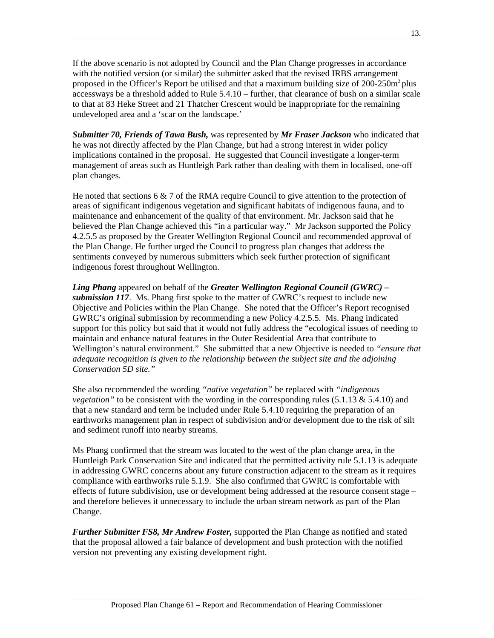If the above scenario is not adopted by Council and the Plan Change progresses in accordance with the notified version (or similar) the submitter asked that the revised IRBS arrangement proposed in the Officer's Report be utilised and that a maximum building size of  $200-250m^2$  plus accessways be a threshold added to Rule 5.4.10 – further, that clearance of bush on a similar scale to that at 83 Heke Street and 21 Thatcher Crescent would be inappropriate for the remaining undeveloped area and a 'scar on the landscape.'

*Submitter 70, Friends of Tawa Bush,* was represented by *Mr Fraser Jackson* who indicated that he was not directly affected by the Plan Change, but had a strong interest in wider policy implications contained in the proposal. He suggested that Council investigate a longer-term management of areas such as Huntleigh Park rather than dealing with them in localised, one-off plan changes.

He noted that sections  $6 \& 7$  of the RMA require Council to give attention to the protection of areas of significant indigenous vegetation and significant habitats of indigenous fauna, and to maintenance and enhancement of the quality of that environment. Mr. Jackson said that he believed the Plan Change achieved this "in a particular way." Mr Jackson supported the Policy 4.2.5.5 as proposed by the Greater Wellington Regional Council and recommended approval of the Plan Change. He further urged the Council to progress plan changes that address the sentiments conveyed by numerous submitters which seek further protection of significant indigenous forest throughout Wellington.

*Ling Phang* appeared on behalf of the *Greater Wellington Regional Council (GWRC) – submission 117*. Ms. Phang first spoke to the matter of GWRC's request to include new Objective and Policies within the Plan Change. She noted that the Officer's Report recognised GWRC's original submission by recommending a new Policy 4.2.5.5. Ms. Phang indicated support for this policy but said that it would not fully address the "ecological issues of needing to maintain and enhance natural features in the Outer Residential Area that contribute to Wellington's natural environment." She submitted that a new Objective is needed to *"ensure that adequate recognition is given to the relationship between the subject site and the adjoining Conservation 5D site."* 

She also recommended the wording *"native vegetation"* be replaced with *"indigenous vegetation"* to be consistent with the wording in the corresponding rules (5.1.13 & 5.4.10) and that a new standard and term be included under Rule 5.4.10 requiring the preparation of an earthworks management plan in respect of subdivision and/or development due to the risk of silt and sediment runoff into nearby streams.

Ms Phang confirmed that the stream was located to the west of the plan change area, in the Huntleigh Park Conservation Site and indicated that the permitted activity rule 5.1.13 is adequate in addressing GWRC concerns about any future construction adjacent to the stream as it requires compliance with earthworks rule 5.1.9. She also confirmed that GWRC is comfortable with effects of future subdivision, use or development being addressed at the resource consent stage – and therefore believes it unnecessary to include the urban stream network as part of the Plan Change.

*Further Submitter FS8, Mr Andrew Foster,* supported the Plan Change as notified and stated that the proposal allowed a fair balance of development and bush protection with the notified version not preventing any existing development right.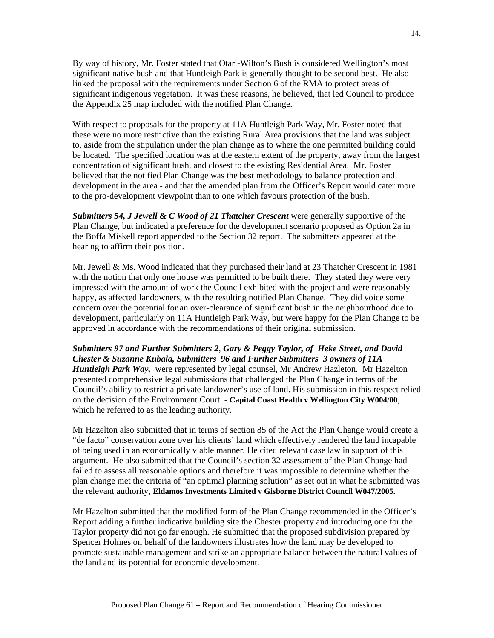By way of history, Mr. Foster stated that Otari-Wilton's Bush is considered Wellington's most significant native bush and that Huntleigh Park is generally thought to be second best. He also linked the proposal with the requirements under Section 6 of the RMA to protect areas of significant indigenous vegetation. It was these reasons, he believed, that led Council to produce the Appendix 25 map included with the notified Plan Change.

With respect to proposals for the property at 11A Huntleigh Park Way, Mr. Foster noted that these were no more restrictive than the existing Rural Area provisions that the land was subject to, aside from the stipulation under the plan change as to where the one permitted building could be located. The specified location was at the eastern extent of the property, away from the largest concentration of significant bush, and closest to the existing Residential Area. Mr. Foster believed that the notified Plan Change was the best methodology to balance protection and development in the area - and that the amended plan from the Officer's Report would cater more to the pro-development viewpoint than to one which favours protection of the bush.

*Submitters 54, J Jewell & C Wood of 21 Thatcher Crescent* were generally supportive of the Plan Change, but indicated a preference for the development scenario proposed as Option 2a in the Boffa Miskell report appended to the Section 32 report. The submitters appeared at the hearing to affirm their position.

Mr. Jewell & Ms. Wood indicated that they purchased their land at 23 Thatcher Crescent in 1981 with the notion that only one house was permitted to be built there. They stated they were very impressed with the amount of work the Council exhibited with the project and were reasonably happy, as affected landowners, with the resulting notified Plan Change. They did voice some concern over the potential for an over-clearance of significant bush in the neighbourhood due to development, particularly on 11A Huntleigh Park Way, but were happy for the Plan Change to be approved in accordance with the recommendations of their original submission.

*Submitters 97 and Further Submitters 2*, *Gary & Peggy Taylor, of Heke Street, and David Chester & Suzanne Kubala, Submitters 96 and Further Submitters 3 owners of 11A Huntleigh Park Way,* were represented by legal counsel, Mr Andrew Hazleton. Mr Hazelton presented comprehensive legal submissions that challenged the Plan Change in terms of the Council's ability to restrict a private landowner's use of land. His submission in this respect relied on the decision of the Environment Court - **Capital Coast Health v Wellington City W004/00**, which he referred to as the leading authority.

Mr Hazelton also submitted that in terms of section 85 of the Act the Plan Change would create a "de facto" conservation zone over his clients' land which effectively rendered the land incapable of being used in an economically viable manner. He cited relevant case law in support of this argument. He also submitted that the Council's section 32 assessment of the Plan Change had failed to assess all reasonable options and therefore it was impossible to determine whether the plan change met the criteria of "an optimal planning solution" as set out in what he submitted was the relevant authority, **Eldamos Investments Limited v Gisborne District Council W047/2005.** 

Mr Hazelton submitted that the modified form of the Plan Change recommended in the Officer's Report adding a further indicative building site the Chester property and introducing one for the Taylor property did not go far enough. He submitted that the proposed subdivision prepared by Spencer Holmes on behalf of the landowners illustrates how the land may be developed to promote sustainable management and strike an appropriate balance between the natural values of the land and its potential for economic development.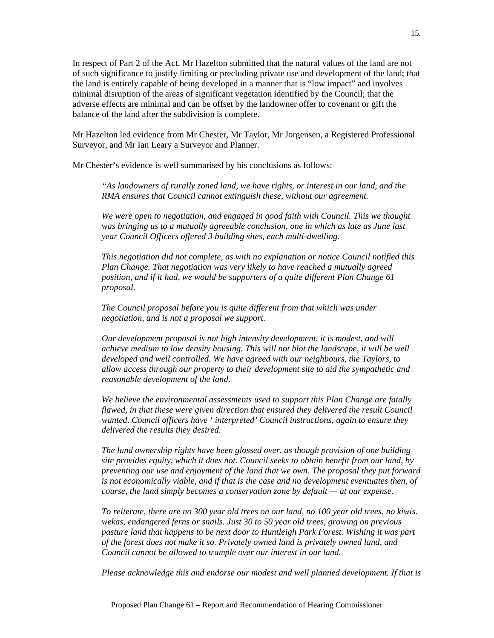In respect of Part 2 of the Act, Mr Hazelton submitted that the natural values of the land are not of such significance to justify limiting or precluding private use and development of the land; that the land is entirely capable of being developed in a manner that is "low impact" and involves minimal disruption of the areas of significant vegetation identified by the Council; that the adverse effects are minimal and can be offset by the landowner offer to covenant or gift the balance of the land after the subdivision is complete.

Mr Hazelton led evidence from Mr Chester, Mr Taylor, Mr Jorgensen, a Registered Professional Surveyor, and Mr Ian Leary a Surveyor and Planner.

Mr Chester's evidence is well summarised by his conclusions as follows:

*"As landowners of rurally zoned land, we have rights, or interest in our land, and the RMA ensures that Council cannot extinguish these, without our agreement.* 

*We were open to negotiation, and engaged in good faith with Council. This we thought was bringing us to a mutually agreeable conclusion, one in which as late as June last year Council Officers offered 3 building sites, each multi-dwelling.* 

*This negotiation did not complete, as with no explanation or notice Council notified this Plan Change. That negotiation was very likely to have reached a mutually agreed position, and if it had, we would be supporters of a quite different Plan Change 61 proposal.* 

*The Council proposal before you is quite different from that which was under negotiation, and is not a proposal we support.* 

*Our development proposal is not high intensity development, it is modest, and will achieve medium to low density housing. This will not blot the landscape, it will be well developed and well controlled. We have agreed with our neighbours, the Taylors, to allow access through our property to their development site to aid the sympathetic and reasonable development of the land.* 

*We believe the environmental assessments used to support this Plan Change are fatally flawed, in that these were given direction that ensured they delivered the result Council wanted. Council officers have ' interpreted' Council instructions, again to ensure they delivered the results they desired.* 

*The land ownership rights have been glossed over, as though provision of one building site provides equity, which it does not. Council seeks to obtain benefit from our land, by preventing our use and enjoyment of the land that we own. The proposal they put forward is not economically viable, and if that is the case and no development eventuates then, of course, the land simply becomes a conservation zone by default — at our expense.* 

*To reiterate, there are no 300 year old trees on our land, no 100 year old trees, no kiwis. wekas, endangered ferns or snails. Just 30 to 50 year old trees, growing on previous pasture land that happens to be next door to Huntleigh Park Forest. Wishing it was part of the forest does not make it so. Privately owned land is privately owned land, and Council cannot be allowed to trample over our interest in our land.* 

*Please acknowledge this and endorse our modest and well planned development. If that is*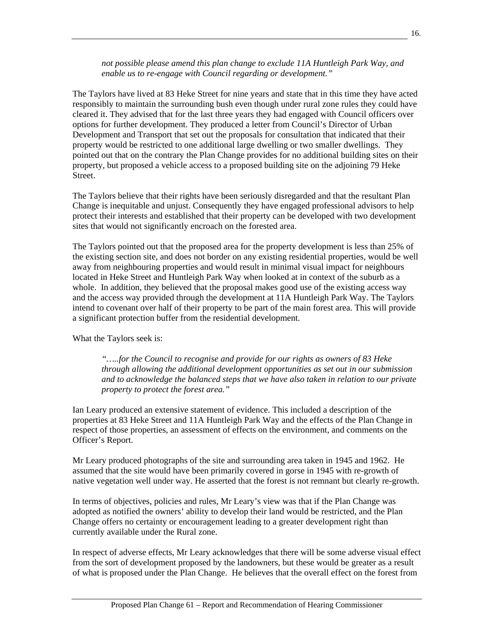#### *not possible please amend this plan change to exclude 11A Huntleigh Park Way, and enable us to re-engage with Council regarding or development."*

The Taylors have lived at 83 Heke Street for nine years and state that in this time they have acted responsibly to maintain the surrounding bush even though under rural zone rules they could have cleared it. They advised that for the last three years they had engaged with Council officers over options for further development. They produced a letter from Council's Director of Urban Development and Transport that set out the proposals for consultation that indicated that their property would be restricted to one additional large dwelling or two smaller dwellings. They pointed out that on the contrary the Plan Change provides for no additional building sites on their property, but proposed a vehicle access to a proposed building site on the adjoining 79 Heke Street.

The Taylors believe that their rights have been seriously disregarded and that the resultant Plan Change is inequitable and unjust. Consequently they have engaged professional advisors to help protect their interests and established that their property can be developed with two development sites that would not significantly encroach on the forested area.

The Taylors pointed out that the proposed area for the property development is less than 25% of the existing section site, and does not border on any existing residential properties, would be well away from neighbouring properties and would result in minimal visual impact for neighbours located in Heke Street and Huntleigh Park Way when looked at in context of the suburb as a whole. In addition, they believed that the proposal makes good use of the existing access way and the access way provided through the development at 11A Huntleigh Park Way. The Taylors intend to covenant over half of their property to be part of the main forest area. This will provide a significant protection buffer from the residential development.

What the Taylors seek is:

 *"…..for the Council to recognise and provide for our rights as owners of 83 Heke through allowing the additional development opportunities as set out in our submission and to acknowledge the balanced steps that we have also taken in relation to our private property to protect the forest area."* 

Ian Leary produced an extensive statement of evidence. This included a description of the properties at 83 Heke Street and 11A Huntleigh Park Way and the effects of the Plan Change in respect of those properties, an assessment of effects on the environment, and comments on the Officer's Report.

Mr Leary produced photographs of the site and surrounding area taken in 1945 and 1962. He assumed that the site would have been primarily covered in gorse in 1945 with re-growth of native vegetation well under way. He asserted that the forest is not remnant but clearly re-growth.

In terms of objectives, policies and rules, Mr Leary's view was that if the Plan Change was adopted as notified the owners' ability to develop their land would be restricted, and the Plan Change offers no certainty or encouragement leading to a greater development right than currently available under the Rural zone.

In respect of adverse effects, Mr Leary acknowledges that there will be some adverse visual effect from the sort of development proposed by the landowners, but these would be greater as a result of what is proposed under the Plan Change. He believes that the overall effect on the forest from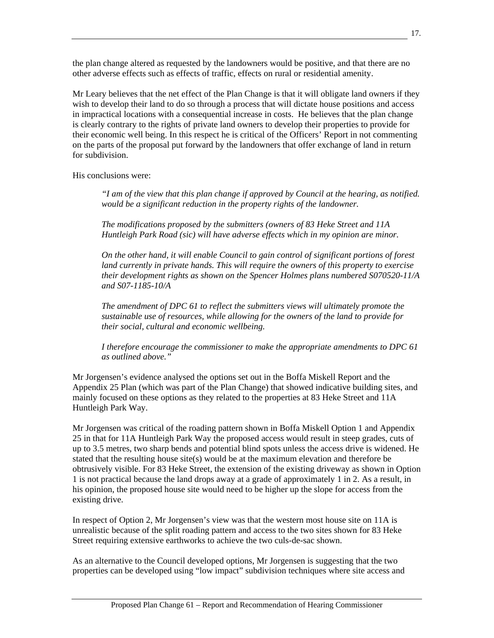the plan change altered as requested by the landowners would be positive, and that there are no other adverse effects such as effects of traffic, effects on rural or residential amenity.

Mr Leary believes that the net effect of the Plan Change is that it will obligate land owners if they wish to develop their land to do so through a process that will dictate house positions and access in impractical locations with a consequential increase in costs. He believes that the plan change is clearly contrary to the rights of private land owners to develop their properties to provide for their economic well being. In this respect he is critical of the Officers' Report in not commenting on the parts of the proposal put forward by the landowners that offer exchange of land in return for subdivision.

His conclusions were:

*"I am of the view that this plan change if approved by Council at the hearing, as notified. would be a significant reduction in the property rights of the landowner.* 

 *The modifications proposed by the submitters (owners of 83 Heke Street and 11A Huntleigh Park Road (sic) will have adverse effects which in my opinion are minor.* 

 *On the other hand, it will enable Council to gain control of significant portions of forest land currently in private hands. This will require the owners of this property to exercise their development rights as shown on the Spencer Holmes plans numbered S070520-11/A and S07-1185-10/A* 

 *The amendment of DPC 61 to reflect the submitters views will ultimately promote the sustainable use of resources, while allowing for the owners of the land to provide for their social, cultural and economic wellbeing.* 

 *I therefore encourage the commissioner to make the appropriate amendments to DPC 61 as outlined above."* 

Mr Jorgensen's evidence analysed the options set out in the Boffa Miskell Report and the Appendix 25 Plan (which was part of the Plan Change) that showed indicative building sites, and mainly focused on these options as they related to the properties at 83 Heke Street and 11A Huntleigh Park Way.

Mr Jorgensen was critical of the roading pattern shown in Boffa Miskell Option 1 and Appendix 25 in that for 11A Huntleigh Park Way the proposed access would result in steep grades, cuts of up to 3.5 metres, two sharp bends and potential blind spots unless the access drive is widened. He stated that the resulting house site(s) would be at the maximum elevation and therefore be obtrusively visible. For 83 Heke Street, the extension of the existing driveway as shown in Option 1 is not practical because the land drops away at a grade of approximately 1 in 2. As a result, in his opinion, the proposed house site would need to be higher up the slope for access from the existing drive.

In respect of Option 2, Mr Jorgensen's view was that the western most house site on 11A is unrealistic because of the split roading pattern and access to the two sites shown for 83 Heke Street requiring extensive earthworks to achieve the two culs-de-sac shown.

As an alternative to the Council developed options, Mr Jorgensen is suggesting that the two properties can be developed using "low impact" subdivision techniques where site access and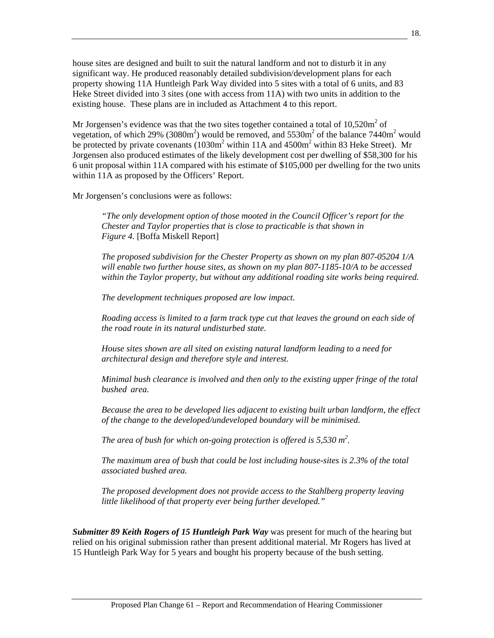house sites are designed and built to suit the natural landform and not to disturb it in any significant way. He produced reasonably detailed subdivision/development plans for each property showing 11A Huntleigh Park Way divided into 5 sites with a total of 6 units, and 83 Heke Street divided into 3 sites (one with access from 11A) with two units in addition to the existing house. These plans are in included as Attachment 4 to this report.

Mr Jorgensen's evidence was that the two sites together contained a total of  $10{,}520\text{m}^2$  of vegetation, of which 29% (3080m<sup>2</sup>) would be removed, and  $5530m<sup>2</sup>$  of the balance  $7440m<sup>2</sup>$  would be protected by private covenants  $(1030m^2 \text{ within } 11 \text{A and } 4500m^2 \text{ within } 83 \text{ Heke Street})$ . Mr Jorgensen also produced estimates of the likely development cost per dwelling of \$58,300 for his 6 unit proposal within 11A compared with his estimate of \$105,000 per dwelling for the two units within 11A as proposed by the Officers' Report.

Mr Jorgensen's conclusions were as follows:

 *"The only development option of those mooted in the Council Officer's report for the Chester and Taylor properties that is close to practicable is that shown in Figure 4.* [Boffa Miskell Report]

 *The proposed subdivision for the Chester Property as shown on my plan 807-05204 1/A will enable two further house sites, as shown on my plan 807-1185-10/A to be accessed within the Taylor property, but without any additional roading site works being required.* 

 *The development techniques proposed are low impact.* 

 *Roading access is limited to a farm track type cut that leaves the ground on each side of the road route in its natural undisturbed state.* 

 *House sites shown are all sited on existing natural landform leading to a need for architectural design and therefore style and interest.* 

 *Minimal bush clearance is involved and then only to the existing upper fringe of the total bushed area.* 

 *Because the area to be developed lies adjacent to existing built urban landform, the effect of the change to the developed/undeveloped boundary will be minimised.* 

*The area of bush for which on-going protection is offered is*  $5,530$  *m<sup>2</sup>.* 

 *The maximum area of bush that could be lost including house-sites is 2.3% of the total associated bushed area.* 

 *The proposed development does not provide access to the Stahlberg property leaving little likelihood of that property ever being further developed."* 

*Submitter 89 Keith Rogers of 15 Huntleigh Park Way* was present for much of the hearing but relied on his original submission rather than present additional material. Mr Rogers has lived at 15 Huntleigh Park Way for 5 years and bought his property because of the bush setting.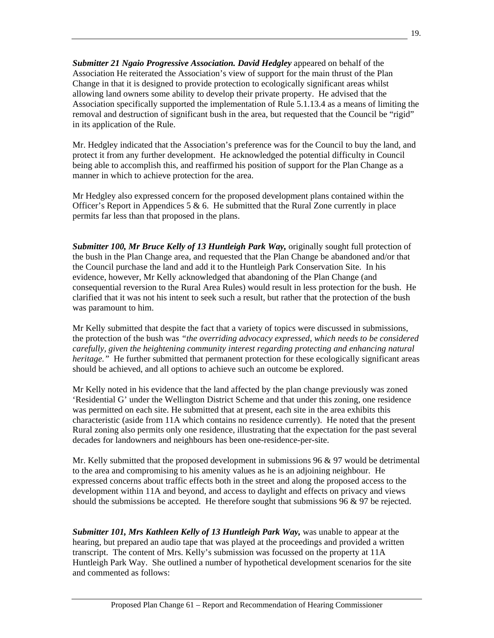*Submitter 21 Ngaio Progressive Association. David Hedgley* appeared on behalf of the Association He reiterated the Association's view of support for the main thrust of the Plan Change in that it is designed to provide protection to ecologically significant areas whilst allowing land owners some ability to develop their private property. He advised that the Association specifically supported the implementation of Rule 5.1.13.4 as a means of limiting the removal and destruction of significant bush in the area, but requested that the Council be "rigid" in its application of the Rule.

Mr. Hedgley indicated that the Association's preference was for the Council to buy the land, and protect it from any further development. He acknowledged the potential difficulty in Council being able to accomplish this, and reaffirmed his position of support for the Plan Change as a manner in which to achieve protection for the area.

Mr Hedgley also expressed concern for the proposed development plans contained within the Officer's Report in Appendices 5 & 6. He submitted that the Rural Zone currently in place permits far less than that proposed in the plans.

*Submitter 100, Mr Bruce Kelly of 13 Huntleigh Park Way, originally sought full protection of* the bush in the Plan Change area, and requested that the Plan Change be abandoned and/or that the Council purchase the land and add it to the Huntleigh Park Conservation Site. In his evidence, however, Mr Kelly acknowledged that abandoning of the Plan Change (and consequential reversion to the Rural Area Rules) would result in less protection for the bush. He clarified that it was not his intent to seek such a result, but rather that the protection of the bush was paramount to him.

Mr Kelly submitted that despite the fact that a variety of topics were discussed in submissions, the protection of the bush was *"the overriding advocacy expressed, which needs to be considered carefully, given the heightening community interest regarding protecting and enhancing natural heritage.*" He further submitted that permanent protection for these ecologically significant areas should be achieved, and all options to achieve such an outcome be explored.

Mr Kelly noted in his evidence that the land affected by the plan change previously was zoned 'Residential G' under the Wellington District Scheme and that under this zoning, one residence was permitted on each site. He submitted that at present, each site in the area exhibits this characteristic (aside from 11A which contains no residence currently). He noted that the present Rural zoning also permits only one residence, illustrating that the expectation for the past several decades for landowners and neighbours has been one-residence-per-site.

Mr. Kelly submitted that the proposed development in submissions 96 & 97 would be detrimental to the area and compromising to his amenity values as he is an adjoining neighbour. He expressed concerns about traffic effects both in the street and along the proposed access to the development within 11A and beyond, and access to daylight and effects on privacy and views should the submissions be accepted. He therefore sought that submissions  $96 \& 97$  be rejected.

*Submitter 101, Mrs Kathleen Kelly of 13 Huntleigh Park Way,* was unable to appear at the hearing, but prepared an audio tape that was played at the proceedings and provided a written transcript. The content of Mrs. Kelly's submission was focussed on the property at 11A Huntleigh Park Way. She outlined a number of hypothetical development scenarios for the site and commented as follows: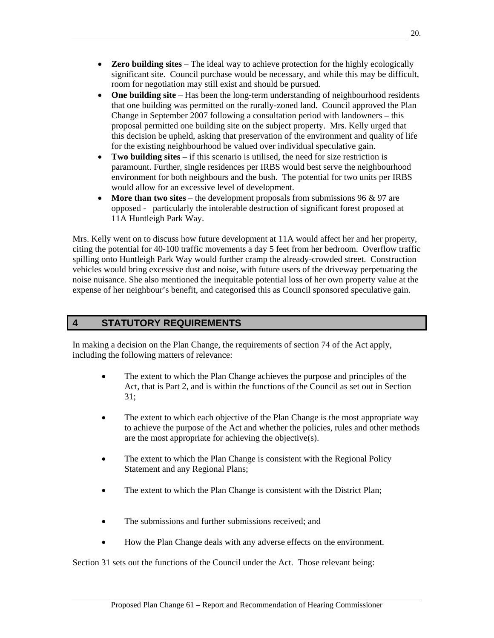- **Zero building sites** The ideal way to achieve protection for the highly ecologically significant site. Council purchase would be necessary, and while this may be difficult, room for negotiation may still exist and should be pursued.
- One building site Has been the long-term understanding of neighbourhood residents that one building was permitted on the rurally-zoned land. Council approved the Plan Change in September 2007 following a consultation period with landowners – this proposal permitted one building site on the subject property. Mrs. Kelly urged that this decision be upheld, asking that preservation of the environment and quality of life for the existing neighbourhood be valued over individual speculative gain.
- **Two building sites** if this scenario is utilised, the need for size restriction is paramount. Further, single residences per IRBS would best serve the neighbourhood environment for both neighbours and the bush. The potential for two units per IRBS would allow for an excessive level of development.
- **More than two sites** the development proposals from submissions  $96 \& 97$  are opposed - particularly the intolerable destruction of significant forest proposed at 11A Huntleigh Park Way.

Mrs. Kelly went on to discuss how future development at 11A would affect her and her property, citing the potential for 40-100 traffic movements a day 5 feet from her bedroom. Overflow traffic spilling onto Huntleigh Park Way would further cramp the already-crowded street. Construction vehicles would bring excessive dust and noise, with future users of the driveway perpetuating the noise nuisance. She also mentioned the inequitable potential loss of her own property value at the expense of her neighbour's benefit, and categorised this as Council sponsored speculative gain.

# **4 STATUTORY REQUIREMENTS**

In making a decision on the Plan Change, the requirements of section 74 of the Act apply, including the following matters of relevance:

- The extent to which the Plan Change achieves the purpose and principles of the Act, that is Part 2, and is within the functions of the Council as set out in Section 31;
- The extent to which each objective of the Plan Change is the most appropriate way to achieve the purpose of the Act and whether the policies, rules and other methods are the most appropriate for achieving the objective(s).
- The extent to which the Plan Change is consistent with the Regional Policy Statement and any Regional Plans;
- The extent to which the Plan Change is consistent with the District Plan;
- The submissions and further submissions received; and
- How the Plan Change deals with any adverse effects on the environment.

Section 31 sets out the functions of the Council under the Act. Those relevant being: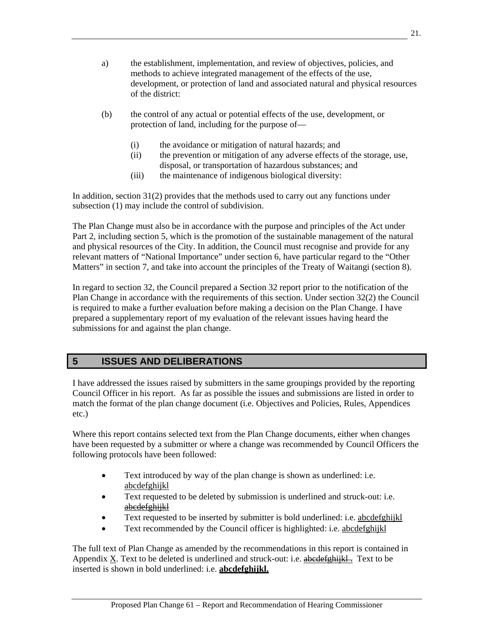- a) the establishment, implementation, and review of objectives, policies, and methods to achieve integrated management of the effects of the use, development, or protection of land and associated natural and physical resources of the district:
- (b) the control of any actual or potential effects of the use, development, or protection of land, including for the purpose of—
	- (i) the avoidance or mitigation of natural hazards; and
	- (ii) the prevention or mitigation of any adverse effects of the storage, use, disposal, or transportation of hazardous substances; and
	- (iii) the maintenance of indigenous biological diversity:

In addition, section 31(2) provides that the methods used to carry out any functions under subsection (1) may include the control of subdivision.

The Plan Change must also be in accordance with the purpose and principles of the Act under Part 2, including section 5, which is the promotion of the sustainable management of the natural and physical resources of the City. In addition, the Council must recognise and provide for any relevant matters of "National Importance" under section 6, have particular regard to the "Other Matters" in section 7, and take into account the principles of the Treaty of Waitangi (section 8).

In regard to section 32, the Council prepared a Section 32 report prior to the notification of the Plan Change in accordance with the requirements of this section. Under section 32(2) the Council is required to make a further evaluation before making a decision on the Plan Change. I have prepared a supplementary report of my evaluation of the relevant issues having heard the submissions for and against the plan change.

# **5 ISSUES AND DELIBERATIONS**

I have addressed the issues raised by submitters in the same groupings provided by the reporting Council Officer in his report. As far as possible the issues and submissions are listed in order to match the format of the plan change document (i.e. Objectives and Policies, Rules, Appendices etc.)

Where this report contains selected text from the Plan Change documents, either when changes have been requested by a submitter or where a change was recommended by Council Officers the following protocols have been followed:

- Text introduced by way of the plan change is shown as underlined: i.e. abcdefghijkl
- Text requested to be deleted by submission is underlined and struck-out: i.e. abcdefghijkl
- Text requested to be inserted by submitter is bold underlined: i.e. abcdefghijkl
- Text recommended by the Council officer is highlighted: i.e. abcdefghijkl

The full text of Plan Change as amended by the recommendations in this report is contained in Appendix X. Text to be deleted is underlined and struck-out: i.e. abedefghijkl. Text to be inserted is shown in bold underlined: i.e. **abcdefghijkl.**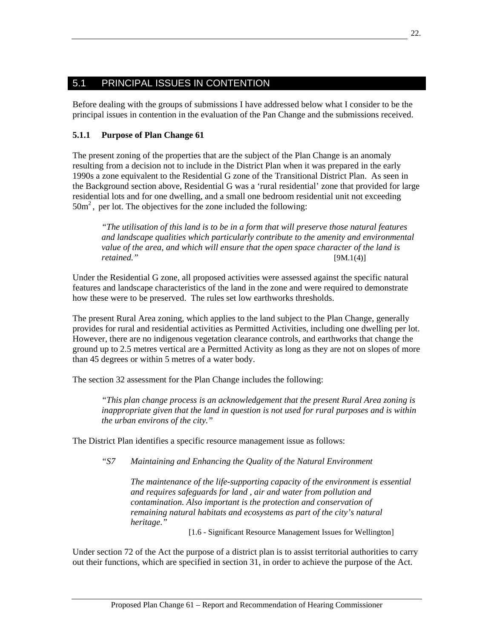# 5.1 PRINCIPAL ISSUES IN CONTENTION

Before dealing with the groups of submissions I have addressed below what I consider to be the principal issues in contention in the evaluation of the Pan Change and the submissions received.

# **5.1.1 Purpose of Plan Change 61**

The present zoning of the properties that are the subject of the Plan Change is an anomaly resulting from a decision not to include in the District Plan when it was prepared in the early 1990s a zone equivalent to the Residential G zone of the Transitional District Plan. As seen in the Background section above, Residential G was a 'rural residential' zone that provided for large residential lots and for one dwelling, and a small one bedroom residential unit not exceeding  $50m<sup>2</sup>$ , per lot. The objectives for the zone included the following:

*"The utilisation of this land is to be in a form that will preserve those natural features and landscape qualities which particularly contribute to the amenity and environmental value of the area, and which will ensure that the open space character of the land is retained."* [9M.1(4)]

Under the Residential G zone, all proposed activities were assessed against the specific natural features and landscape characteristics of the land in the zone and were required to demonstrate how these were to be preserved. The rules set low earthworks thresholds.

The present Rural Area zoning, which applies to the land subject to the Plan Change, generally provides for rural and residential activities as Permitted Activities, including one dwelling per lot. However, there are no indigenous vegetation clearance controls, and earthworks that change the ground up to 2.5 metres vertical are a Permitted Activity as long as they are not on slopes of more than 45 degrees or within 5 metres of a water body.

The section 32 assessment for the Plan Change includes the following:

*"This plan change process is an acknowledgement that the present Rural Area zoning is inappropriate given that the land in question is not used for rural purposes and is within the urban environs of the city."* 

The District Plan identifies a specific resource management issue as follows:

*"S7 Maintaining and Enhancing the Quality of the Natural Environment* 

 *The maintenance of the life-supporting capacity of the environment is essential and requires safeguards for land , air and water from pollution and contamination. Also important is the protection and conservation of remaining natural habitats and ecosystems as part of the city's natural heritage*.*"* 

[1.6 - Significant Resource Management Issues for Wellington]

Under section 72 of the Act the purpose of a district plan is to assist territorial authorities to carry out their functions, which are specified in section 31, in order to achieve the purpose of the Act.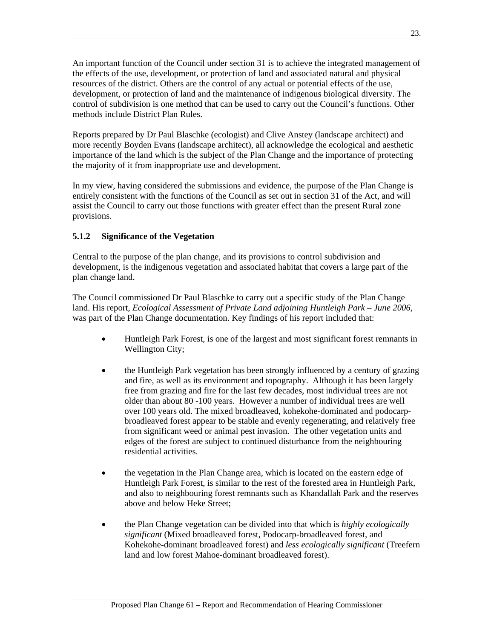An important function of the Council under section 31 is to achieve the integrated management of the effects of the use, development, or protection of land and associated natural and physical resources of the district. Others are the control of any actual or potential effects of the use, development, or protection of land and the maintenance of indigenous biological diversity. The control of subdivision is one method that can be used to carry out the Council's functions. Other methods include District Plan Rules.

Reports prepared by Dr Paul Blaschke (ecologist) and Clive Anstey (landscape architect) and more recently Boyden Evans (landscape architect), all acknowledge the ecological and aesthetic importance of the land which is the subject of the Plan Change and the importance of protecting the majority of it from inappropriate use and development.

In my view, having considered the submissions and evidence, the purpose of the Plan Change is entirely consistent with the functions of the Council as set out in section 31 of the Act, and will assist the Council to carry out those functions with greater effect than the present Rural zone provisions.

# **5.1.2 Significance of the Vegetation**

Central to the purpose of the plan change, and its provisions to control subdivision and development, is the indigenous vegetation and associated habitat that covers a large part of the plan change land.

The Council commissioned Dr Paul Blaschke to carry out a specific study of the Plan Change land. His report, *Ecological Assessment of Private Land adjoining Huntleigh Park – June 2006*, was part of the Plan Change documentation. Key findings of his report included that:

- Huntleigh Park Forest, is one of the largest and most significant forest remnants in Wellington City;
- the Huntleigh Park vegetation has been strongly influenced by a century of grazing and fire, as well as its environment and topography. Although it has been largely free from grazing and fire for the last few decades, most individual trees are not older than about 80 -100 years. However a number of individual trees are well over 100 years old. The mixed broadleaved, kohekohe-dominated and podocarpbroadleaved forest appear to be stable and evenly regenerating, and relatively free from significant weed or animal pest invasion. The other vegetation units and edges of the forest are subject to continued disturbance from the neighbouring residential activities.
- the vegetation in the Plan Change area, which is located on the eastern edge of Huntleigh Park Forest, is similar to the rest of the forested area in Huntleigh Park, and also to neighbouring forest remnants such as Khandallah Park and the reserves above and below Heke Street;
- the Plan Change vegetation can be divided into that which is *highly ecologically significant* (Mixed broadleaved forest, Podocarp-broadleaved forest, and Kohekohe-dominant broadleaved forest) and *less ecologically significant* (Treefern land and low forest Mahoe-dominant broadleaved forest).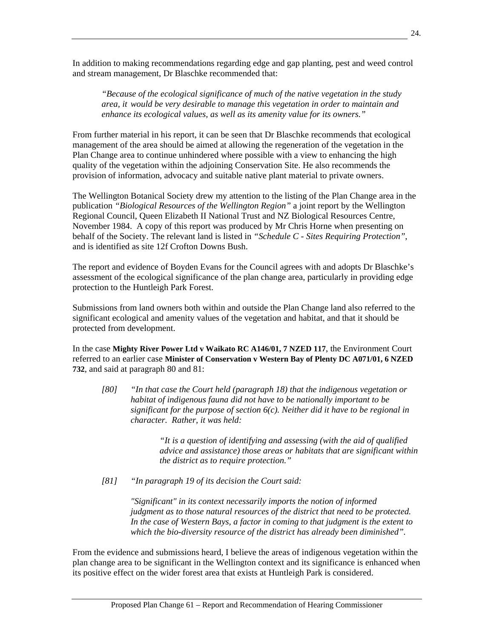In addition to making recommendations regarding edge and gap planting, pest and weed control and stream management, Dr Blaschke recommended that:

*"Because of the ecological significance of much of the native vegetation in the study area, it would be very desirable to manage this vegetation in order to maintain and enhance its ecological values, as well as its amenity value for its owners."* 

From further material in his report, it can be seen that Dr Blaschke recommends that ecological management of the area should be aimed at allowing the regeneration of the vegetation in the Plan Change area to continue unhindered where possible with a view to enhancing the high quality of the vegetation within the adjoining Conservation Site. He also recommends the provision of information, advocacy and suitable native plant material to private owners.

The Wellington Botanical Society drew my attention to the listing of the Plan Change area in the publication *"Biological Resources of the Wellington Region"* a joint report by the Wellington Regional Council, Queen Elizabeth II National Trust and NZ Biological Resources Centre, November 1984. A copy of this report was produced by Mr Chris Horne when presenting on behalf of the Society. The relevant land is listed in *"Schedule C - Sites Requiring Protection"*, and is identified as site 12f Crofton Downs Bush.

The report and evidence of Boyden Evans for the Council agrees with and adopts Dr Blaschke's assessment of the ecological significance of the plan change area, particularly in providing edge protection to the Huntleigh Park Forest.

Submissions from land owners both within and outside the Plan Change land also referred to the significant ecological and amenity values of the vegetation and habitat, and that it should be protected from development.

In the case **Mighty River Power Ltd v Waikato RC A146/01, 7 NZED 117**, the Environment Court referred to an earlier case **Minister of Conservation v Western Bay of Plenty DC A071/01, 6 NZED 732**, and said at paragraph 80 and 81:

 *[80] "In that case the Court held (paragraph 18) that the indigenous vegetation or habitat of indigenous fauna did not have to be nationally important to be significant for the purpose of section 6(c). Neither did it have to be regional in character. Rather, it was held:* 

> *"It is a question of identifying and assessing (with the aid of qualified advice and assistance) those areas or habitats that are significant within the district as to require protection."*

 *[81] "In paragraph 19 of its decision the Court said:* 

 *"Significant" in its context necessarily imports the notion of informed judgment as to those natural resources of the district that need to be protected. In the case of Western Bays, a factor in coming to that judgment is the extent to which the bio-diversity resource of the district has already been diminished".* 

From the evidence and submissions heard, I believe the areas of indigenous vegetation within the plan change area to be significant in the Wellington context and its significance is enhanced when its positive effect on the wider forest area that exists at Huntleigh Park is considered.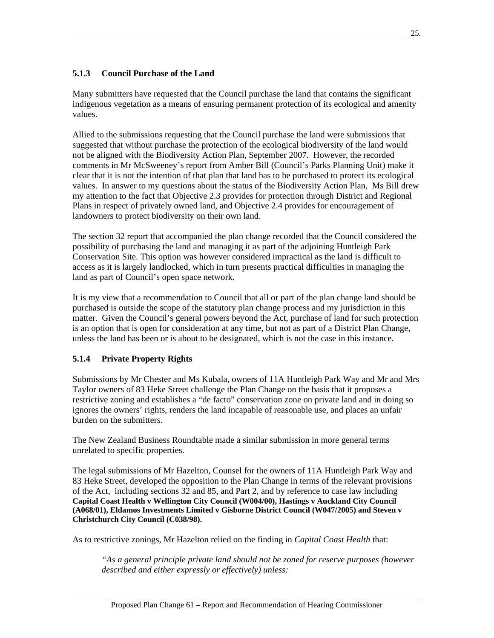# **5.1.3 Council Purchase of the Land**

Many submitters have requested that the Council purchase the land that contains the significant indigenous vegetation as a means of ensuring permanent protection of its ecological and amenity values.

Allied to the submissions requesting that the Council purchase the land were submissions that suggested that without purchase the protection of the ecological biodiversity of the land would not be aligned with the Biodiversity Action Plan, September 2007. However, the recorded comments in Mr McSweeney's report from Amber Bill (Council's Parks Planning Unit) make it clear that it is not the intention of that plan that land has to be purchased to protect its ecological values. In answer to my questions about the status of the Biodiversity Action Plan, Ms Bill drew my attention to the fact that Objective 2.3 provides for protection through District and Regional Plans in respect of privately owned land, and Objective 2.4 provides for encouragement of landowners to protect biodiversity on their own land.

The section 32 report that accompanied the plan change recorded that the Council considered the possibility of purchasing the land and managing it as part of the adjoining Huntleigh Park Conservation Site. This option was however considered impractical as the land is difficult to access as it is largely landlocked, which in turn presents practical difficulties in managing the land as part of Council's open space network.

It is my view that a recommendation to Council that all or part of the plan change land should be purchased is outside the scope of the statutory plan change process and my jurisdiction in this matter. Given the Council's general powers beyond the Act, purchase of land for such protection is an option that is open for consideration at any time, but not as part of a District Plan Change, unless the land has been or is about to be designated, which is not the case in this instance.

# **5.1.4 Private Property Rights**

Submissions by Mr Chester and Ms Kubala, owners of 11A Huntleigh Park Way and Mr and Mrs Taylor owners of 83 Heke Street challenge the Plan Change on the basis that it proposes a restrictive zoning and establishes a "de facto" conservation zone on private land and in doing so ignores the owners' rights, renders the land incapable of reasonable use, and places an unfair burden on the submitters.

The New Zealand Business Roundtable made a similar submission in more general terms unrelated to specific properties.

The legal submissions of Mr Hazelton, Counsel for the owners of 11A Huntleigh Park Way and 83 Heke Street, developed the opposition to the Plan Change in terms of the relevant provisions of the Act, including sections 32 and 85, and Part 2, and by reference to case law including **Capital Coast Health v Wellington City Council (W004/00), Hastings v Auckland City Council (A068/01), Eldamos Investments Limited v Gisborne District Council (W047/2005) and Steven v Christchurch City Council (C038/98).**

As to restrictive zonings, Mr Hazelton relied on the finding in *Capital Coast Health* that:

*"As a general principle private land should not be zoned for reserve purposes (however described and either expressly or effectively) unless:*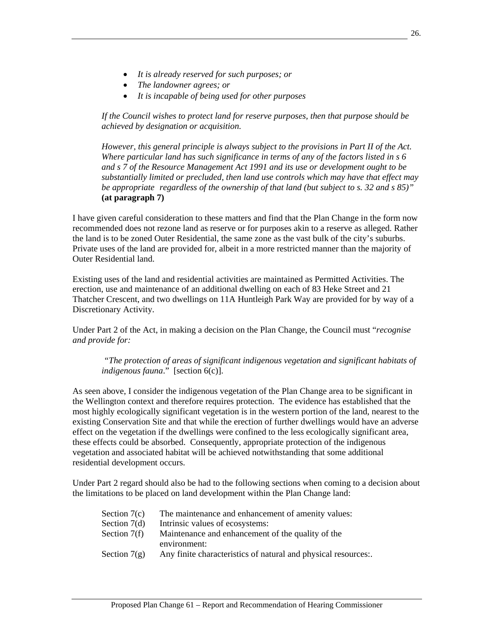- *It is already reserved for such purposes; or*
- *The landowner agrees; or*
- *It is incapable of being used for other purposes*

 *If the Council wishes to protect land for reserve purposes, then that purpose should be achieved by designation or acquisition.* 

 *However, this general principle is always subject to the provisions in Part II of the Act. Where particular land has such significance in terms of any of the factors listed in s 6 and s 7 of the Resource Management Act 1991 and its use or development ought to be substantially limited or precluded, then land use controls which may have that effect may be appropriate regardless of the ownership of that land (but subject to s. 32 and s 85)"*  **(at paragraph 7)**

I have given careful consideration to these matters and find that the Plan Change in the form now recommended does not rezone land as reserve or for purposes akin to a reserve as alleged. Rather the land is to be zoned Outer Residential, the same zone as the vast bulk of the city's suburbs. Private uses of the land are provided for, albeit in a more restricted manner than the majority of Outer Residential land.

Existing uses of the land and residential activities are maintained as Permitted Activities. The erection, use and maintenance of an additional dwelling on each of 83 Heke Street and 21 Thatcher Crescent, and two dwellings on 11A Huntleigh Park Way are provided for by way of a Discretionary Activity.

Under Part 2 of the Act, in making a decision on the Plan Change, the Council must "*recognise and provide for:* 

*"The protection of areas of significant indigenous vegetation and significant habitats of indigenous fauna*." [section 6(c)].

As seen above, I consider the indigenous vegetation of the Plan Change area to be significant in the Wellington context and therefore requires protection. The evidence has established that the most highly ecologically significant vegetation is in the western portion of the land, nearest to the existing Conservation Site and that while the erection of further dwellings would have an adverse effect on the vegetation if the dwellings were confined to the less ecologically significant area, these effects could be absorbed. Consequently, appropriate protection of the indigenous vegetation and associated habitat will be achieved notwithstanding that some additional residential development occurs.

Under Part 2 regard should also be had to the following sections when coming to a decision about the limitations to be placed on land development within the Plan Change land:

| Section $7(c)$ | The maintenance and enhancement of amenity values:             |
|----------------|----------------------------------------------------------------|
| Section $7(d)$ | Intrinsic values of ecosystems:                                |
| Section $7(f)$ | Maintenance and enhancement of the quality of the              |
|                | environment:                                                   |
| Section $7(g)$ | Any finite characteristics of natural and physical resources:. |
|                |                                                                |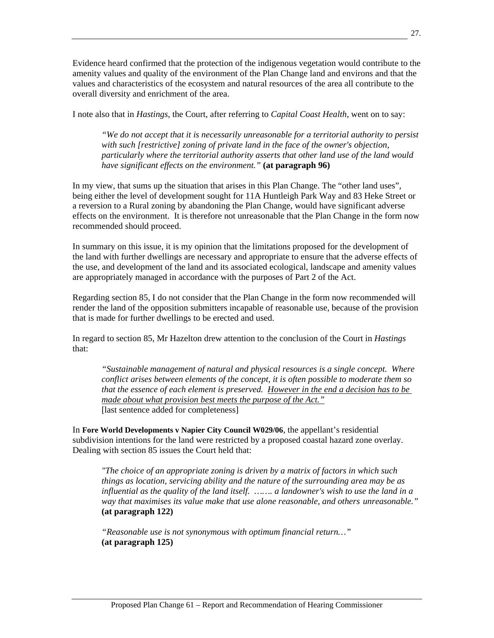Evidence heard confirmed that the protection of the indigenous vegetation would contribute to the amenity values and quality of the environment of the Plan Change land and environs and that the values and characteristics of the ecosystem and natural resources of the area all contribute to the overall diversity and enrichment of the area.

I note also that in *Hastings*, the Court, after referring to *Capital Coast Health*, went on to say:

*"We do not accept that it is necessarily unreasonable for a territorial authority to persist with such [restrictive] zoning of private land in the face of the owner's objection, particularly where the territorial authority asserts that other land use of the land would have significant effects on the environment."* **(at paragraph 96)** 

In my view, that sums up the situation that arises in this Plan Change. The "other land uses", being either the level of development sought for 11A Huntleigh Park Way and 83 Heke Street or a reversion to a Rural zoning by abandoning the Plan Change, would have significant adverse effects on the environment. It is therefore not unreasonable that the Plan Change in the form now recommended should proceed.

In summary on this issue, it is my opinion that the limitations proposed for the development of the land with further dwellings are necessary and appropriate to ensure that the adverse effects of the use, and development of the land and its associated ecological, landscape and amenity values are appropriately managed in accordance with the purposes of Part 2 of the Act.

Regarding section 85, I do not consider that the Plan Change in the form now recommended will render the land of the opposition submitters incapable of reasonable use, because of the provision that is made for further dwellings to be erected and used.

In regard to section 85, Mr Hazelton drew attention to the conclusion of the Court in *Hastings* that:

*"Sustainable management of natural and physical resources is a single concept. Where conflict arises between elements of the concept, it is often possible to moderate them so that the essence of each element is preserved. However in the end a decision has to be made about what provision best meets the purpose of the Act."* [last sentence added for completeness]

In **Fore World Developments v Napier City Council W029/06**, the appellant's residential subdivision intentions for the land were restricted by a proposed coastal hazard zone overlay. Dealing with section 85 issues the Court held that:

*"The choice of an appropriate zoning is driven by a matrix of factors in which such things as location, servicing ability and the nature of the surrounding area may be as influential as the quality of the land itself. ……. a landowner's wish to use the land in a way that maximises its value make that use alone reasonable, and others unreasonable."*  **(at paragraph 122)**

*"Reasonable use is not synonymous with optimum financial return…"* **(at paragraph 125)**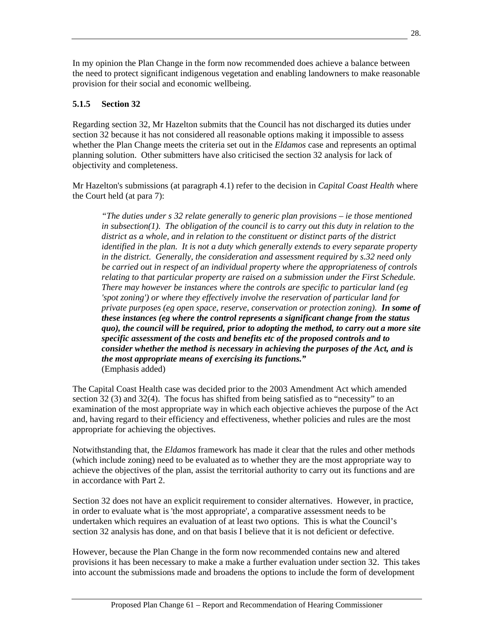In my opinion the Plan Change in the form now recommended does achieve a balance between the need to protect significant indigenous vegetation and enabling landowners to make reasonable provision for their social and economic wellbeing.

# **5.1.5 Section 32**

Regarding section 32, Mr Hazelton submits that the Council has not discharged its duties under section 32 because it has not considered all reasonable options making it impossible to assess whether the Plan Change meets the criteria set out in the *Eldamos* case and represents an optimal planning solution. Other submitters have also criticised the section 32 analysis for lack of objectivity and completeness.

Mr Hazelton's submissions (at paragraph 4.1) refer to the decision in *Capital Coast Health* where the Court held (at para 7):

*"The duties under s 32 relate generally to generic plan provisions – ie those mentioned in subsection(1). The obligation of the council is to carry out this duty in relation to the district as a whole, and in relation to the constituent or distinct parts of the district identified in the plan. It is not a duty which generally extends to every separate property in the district. Generally, the consideration and assessment required by s.32 need only be carried out in respect of an individual property where the appropriateness of controls relating to that particular property are raised on a submission under the First Schedule. There may however be instances where the controls are specific to particular land (eg 'spot zoning') or where they effectively involve the reservation of particular land for private purposes (eg open space, reserve, conservation or protection zoning). In some of these instances (eg where the control represents a significant change from the status quo), the council will be required, prior to adopting the method, to carry out a more site specific assessment of the costs and benefits etc of the proposed controls and to consider whether the method is necessary in achieving the purposes of the Act, and is the most appropriate means of exercising its functions."* (Emphasis added)

The Capital Coast Health case was decided prior to the 2003 Amendment Act which amended section 32 (3) and 32(4). The focus has shifted from being satisfied as to "necessity" to an examination of the most appropriate way in which each objective achieves the purpose of the Act and, having regard to their efficiency and effectiveness, whether policies and rules are the most appropriate for achieving the objectives.

Notwithstanding that, the *Eldamos* framework has made it clear that the rules and other methods (which include zoning) need to be evaluated as to whether they are the most appropriate way to achieve the objectives of the plan, assist the territorial authority to carry out its functions and are in accordance with Part 2.

Section 32 does not have an explicit requirement to consider alternatives. However, in practice, in order to evaluate what is 'the most appropriate', a comparative assessment needs to be undertaken which requires an evaluation of at least two options. This is what the Council's section 32 analysis has done, and on that basis I believe that it is not deficient or defective.

However, because the Plan Change in the form now recommended contains new and altered provisions it has been necessary to make a make a further evaluation under section 32. This takes into account the submissions made and broadens the options to include the form of development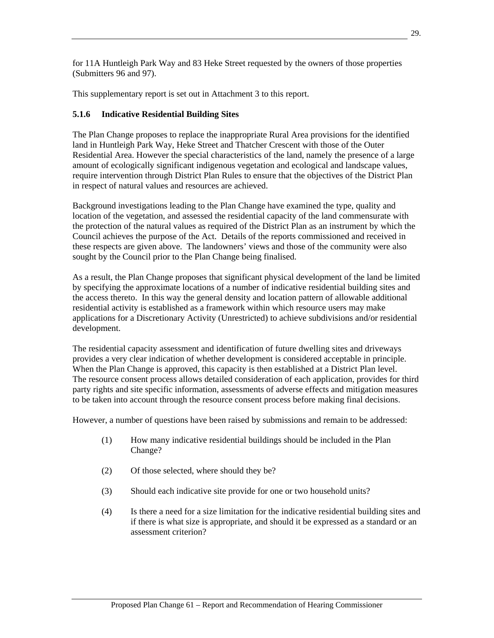for 11A Huntleigh Park Way and 83 Heke Street requested by the owners of those properties (Submitters 96 and 97).

This supplementary report is set out in Attachment 3 to this report.

# **5.1.6 Indicative Residential Building Sites**

The Plan Change proposes to replace the inappropriate Rural Area provisions for the identified land in Huntleigh Park Way, Heke Street and Thatcher Crescent with those of the Outer Residential Area. However the special characteristics of the land, namely the presence of a large amount of ecologically significant indigenous vegetation and ecological and landscape values, require intervention through District Plan Rules to ensure that the objectives of the District Plan in respect of natural values and resources are achieved.

Background investigations leading to the Plan Change have examined the type, quality and location of the vegetation, and assessed the residential capacity of the land commensurate with the protection of the natural values as required of the District Plan as an instrument by which the Council achieves the purpose of the Act. Details of the reports commissioned and received in these respects are given above. The landowners' views and those of the community were also sought by the Council prior to the Plan Change being finalised.

As a result, the Plan Change proposes that significant physical development of the land be limited by specifying the approximate locations of a number of indicative residential building sites and the access thereto. In this way the general density and location pattern of allowable additional residential activity is established as a framework within which resource users may make applications for a Discretionary Activity (Unrestricted) to achieve subdivisions and/or residential development.

The residential capacity assessment and identification of future dwelling sites and driveways provides a very clear indication of whether development is considered acceptable in principle. When the Plan Change is approved, this capacity is then established at a District Plan level. The resource consent process allows detailed consideration of each application, provides for third party rights and site specific information, assessments of adverse effects and mitigation measures to be taken into account through the resource consent process before making final decisions.

However, a number of questions have been raised by submissions and remain to be addressed:

- (1) How many indicative residential buildings should be included in the Plan Change?
- (2) Of those selected, where should they be?
- (3) Should each indicative site provide for one or two household units?
- (4) Is there a need for a size limitation for the indicative residential building sites and if there is what size is appropriate, and should it be expressed as a standard or an assessment criterion?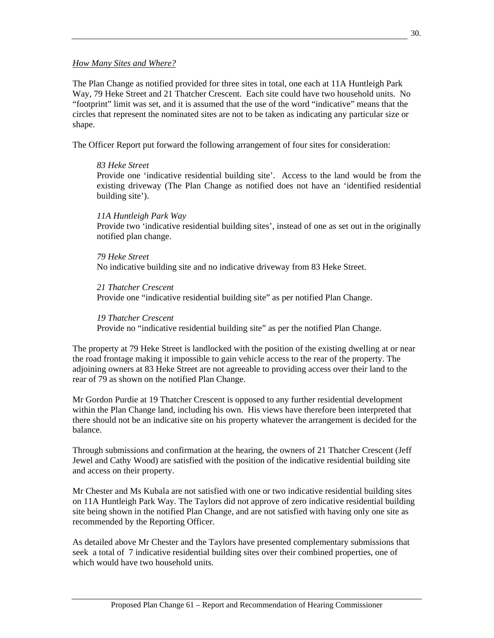#### *How Many Sites and Where?*

The Plan Change as notified provided for three sites in total, one each at 11A Huntleigh Park Way, 79 Heke Street and 21 Thatcher Crescent. Each site could have two household units. No "footprint" limit was set, and it is assumed that the use of the word "indicative" means that the circles that represent the nominated sites are not to be taken as indicating any particular size or shape.

The Officer Report put forward the following arrangement of four sites for consideration:

## *83 Heke Street*

Provide one 'indicative residential building site'. Access to the land would be from the existing driveway (The Plan Change as notified does not have an 'identified residential building site').

## *11A Huntleigh Park Way*

Provide two 'indicative residential building sites', instead of one as set out in the originally notified plan change.

*79 Heke Street*  No indicative building site and no indicative driveway from 83 Heke Street.

*21 Thatcher Crescent*  Provide one "indicative residential building site" as per notified Plan Change.

*19 Thatcher Crescent*  Provide no "indicative residential building site" as per the notified Plan Change.

The property at 79 Heke Street is landlocked with the position of the existing dwelling at or near the road frontage making it impossible to gain vehicle access to the rear of the property. The adjoining owners at 83 Heke Street are not agreeable to providing access over their land to the rear of 79 as shown on the notified Plan Change.

Mr Gordon Purdie at 19 Thatcher Crescent is opposed to any further residential development within the Plan Change land, including his own. His views have therefore been interpreted that there should not be an indicative site on his property whatever the arrangement is decided for the balance.

Through submissions and confirmation at the hearing, the owners of 21 Thatcher Crescent (Jeff Jewel and Cathy Wood) are satisfied with the position of the indicative residential building site and access on their property.

Mr Chester and Ms Kubala are not satisfied with one or two indicative residential building sites on 11A Huntleigh Park Way. The Taylors did not approve of zero indicative residential building site being shown in the notified Plan Change, and are not satisfied with having only one site as recommended by the Reporting Officer.

As detailed above Mr Chester and the Taylors have presented complementary submissions that seek a total of 7 indicative residential building sites over their combined properties, one of which would have two household units.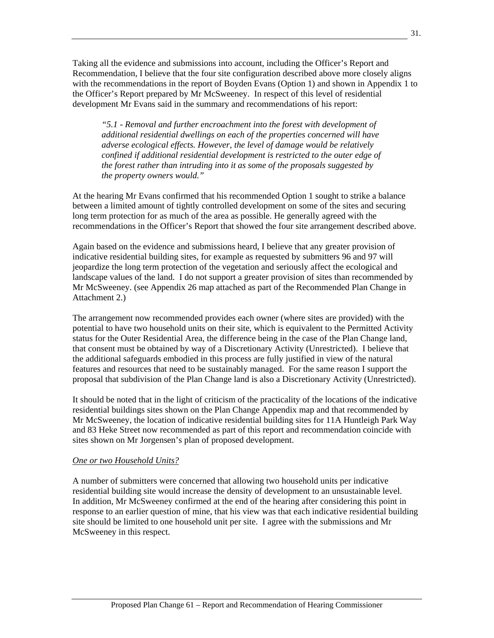Taking all the evidence and submissions into account, including the Officer's Report and Recommendation, I believe that the four site configuration described above more closely aligns with the recommendations in the report of Boyden Evans (Option 1) and shown in Appendix 1 to the Officer's Report prepared by Mr McSweeney. In respect of this level of residential development Mr Evans said in the summary and recommendations of his report:

*"5.1 - Removal and further encroachment into the forest with development of additional residential dwellings on each of the properties concerned will have adverse ecological effects. However, the level of damage would be relatively confined if additional residential development is restricted to the outer edge of the forest rather than intruding into it as some of the proposals suggested by the property owners would."* 

At the hearing Mr Evans confirmed that his recommended Option 1 sought to strike a balance between a limited amount of tightly controlled development on some of the sites and securing long term protection for as much of the area as possible. He generally agreed with the recommendations in the Officer's Report that showed the four site arrangement described above.

Again based on the evidence and submissions heard, I believe that any greater provision of indicative residential building sites, for example as requested by submitters 96 and 97 will jeopardize the long term protection of the vegetation and seriously affect the ecological and landscape values of the land. I do not support a greater provision of sites than recommended by Mr McSweeney. (see Appendix 26 map attached as part of the Recommended Plan Change in Attachment 2.)

The arrangement now recommended provides each owner (where sites are provided) with the potential to have two household units on their site, which is equivalent to the Permitted Activity status for the Outer Residential Area, the difference being in the case of the Plan Change land, that consent must be obtained by way of a Discretionary Activity (Unrestricted). I believe that the additional safeguards embodied in this process are fully justified in view of the natural features and resources that need to be sustainably managed. For the same reason I support the proposal that subdivision of the Plan Change land is also a Discretionary Activity (Unrestricted).

It should be noted that in the light of criticism of the practicality of the locations of the indicative residential buildings sites shown on the Plan Change Appendix map and that recommended by Mr McSweeney, the location of indicative residential building sites for 11A Huntleigh Park Way and 83 Heke Street now recommended as part of this report and recommendation coincide with sites shown on Mr Jorgensen's plan of proposed development.

#### *One or two Household Units?*

A number of submitters were concerned that allowing two household units per indicative residential building site would increase the density of development to an unsustainable level. In addition, Mr McSweeney confirmed at the end of the hearing after considering this point in response to an earlier question of mine, that his view was that each indicative residential building site should be limited to one household unit per site. I agree with the submissions and Mr McSweeney in this respect.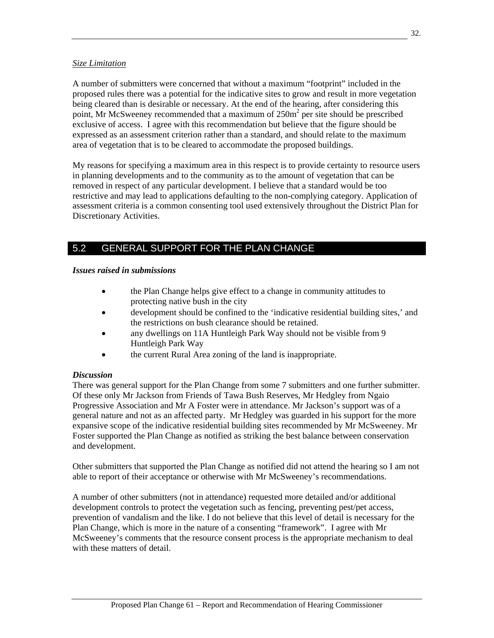#### *Size Limitation*

A number of submitters were concerned that without a maximum "footprint" included in the proposed rules there was a potential for the indicative sites to grow and result in more vegetation being cleared than is desirable or necessary. At the end of the hearing, after considering this point, Mr McSweeney recommended that a maximum of  $250m^2$  per site should be prescribed exclusive of access. I agree with this recommendation but believe that the figure should be expressed as an assessment criterion rather than a standard, and should relate to the maximum area of vegetation that is to be cleared to accommodate the proposed buildings.

My reasons for specifying a maximum area in this respect is to provide certainty to resource users in planning developments and to the community as to the amount of vegetation that can be removed in respect of any particular development. I believe that a standard would be too restrictive and may lead to applications defaulting to the non-complying category. Application of assessment criteria is a common consenting tool used extensively throughout the District Plan for Discretionary Activities.

# 5.2 GENERAL SUPPORT FOR THE PLAN CHANGE

## *Issues raised in submissions*

- the Plan Change helps give effect to a change in community attitudes to protecting native bush in the city
- development should be confined to the 'indicative residential building sites,' and the restrictions on bush clearance should be retained.
- any dwellings on 11A Huntleigh Park Way should not be visible from 9 Huntleigh Park Way
- the current Rural Area zoning of the land is inappropriate.

# *Discussion*

There was general support for the Plan Change from some 7 submitters and one further submitter. Of these only Mr Jackson from Friends of Tawa Bush Reserves, Mr Hedgley from Ngaio Progressive Association and Mr A Foster were in attendance. Mr Jackson's support was of a general nature and not as an affected party. Mr Hedgley was guarded in his support for the more expansive scope of the indicative residential building sites recommended by Mr McSweeney. Mr Foster supported the Plan Change as notified as striking the best balance between conservation and development.

Other submitters that supported the Plan Change as notified did not attend the hearing so I am not able to report of their acceptance or otherwise with Mr McSweeney's recommendations.

A number of other submitters (not in attendance) requested more detailed and/or additional development controls to protect the vegetation such as fencing, preventing pest/pet access, prevention of vandalism and the like. I do not believe that this level of detail is necessary for the Plan Change, which is more in the nature of a consenting "framework". I agree with Mr McSweeney's comments that the resource consent process is the appropriate mechanism to deal with these matters of detail.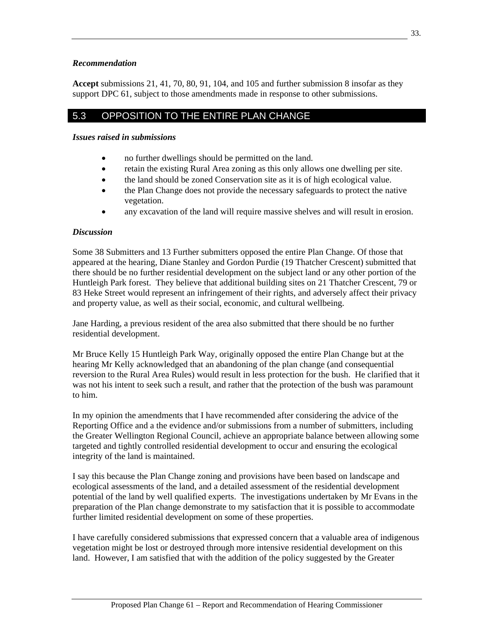#### *Recommendation*

**Accept** submissions 21, 41, 70, 80, 91, 104, and 105 and further submission 8 insofar as they support DPC 61, subject to those amendments made in response to other submissions.

# 5.3 OPPOSITION TO THE ENTIRE PLAN CHANGE

## *Issues raised in submissions*

- no further dwellings should be permitted on the land.
- retain the existing Rural Area zoning as this only allows one dwelling per site.
- the land should be zoned Conservation site as it is of high ecological value.
- the Plan Change does not provide the necessary safeguards to protect the native vegetation.
- any excavation of the land will require massive shelves and will result in erosion.

## *Discussion*

Some 38 Submitters and 13 Further submitters opposed the entire Plan Change. Of those that appeared at the hearing, Diane Stanley and Gordon Purdie (19 Thatcher Crescent) submitted that there should be no further residential development on the subject land or any other portion of the Huntleigh Park forest. They believe that additional building sites on 21 Thatcher Crescent, 79 or 83 Heke Street would represent an infringement of their rights, and adversely affect their privacy and property value, as well as their social, economic, and cultural wellbeing.

Jane Harding, a previous resident of the area also submitted that there should be no further residential development.

Mr Bruce Kelly 15 Huntleigh Park Way, originally opposed the entire Plan Change but at the hearing Mr Kelly acknowledged that an abandoning of the plan change (and consequential reversion to the Rural Area Rules) would result in less protection for the bush. He clarified that it was not his intent to seek such a result, and rather that the protection of the bush was paramount to him.

In my opinion the amendments that I have recommended after considering the advice of the Reporting Office and a the evidence and/or submissions from a number of submitters, including the Greater Wellington Regional Council, achieve an appropriate balance between allowing some targeted and tightly controlled residential development to occur and ensuring the ecological integrity of the land is maintained.

I say this because the Plan Change zoning and provisions have been based on landscape and ecological assessments of the land, and a detailed assessment of the residential development potential of the land by well qualified experts. The investigations undertaken by Mr Evans in the preparation of the Plan change demonstrate to my satisfaction that it is possible to accommodate further limited residential development on some of these properties.

I have carefully considered submissions that expressed concern that a valuable area of indigenous vegetation might be lost or destroyed through more intensive residential development on this land. However, I am satisfied that with the addition of the policy suggested by the Greater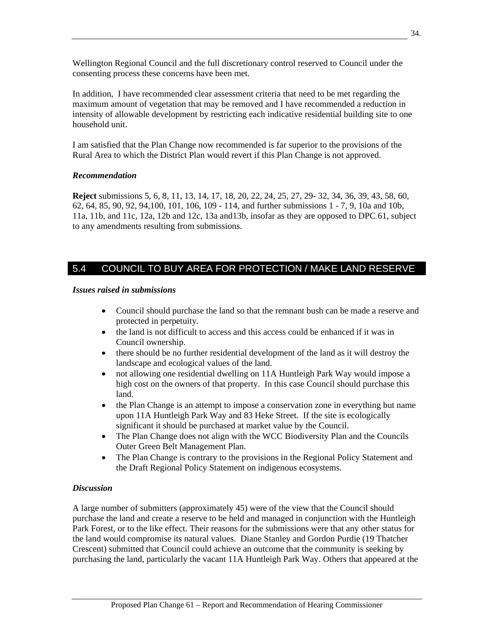Wellington Regional Council and the full discretionary control reserved to Council under the consenting process these concerns have been met.

In addition, I have recommended clear assessment criteria that need to be met regarding the maximum amount of vegetation that may be removed and I have recommended a reduction in intensity of allowable development by restricting each indicative residential building site to one household unit.

I am satisfied that the Plan Change now recommended is far superior to the provisions of the Rural Area to which the District Plan would revert if this Plan Change is not approved.

## *Recommendation*

**Reject** submissions 5, 6, 8, 11, 13, 14, 17, 18, 20, 22, 24, 25, 27, 29- 32, 34, 36, 39, 43, 58, 60, 62, 64, 85, 90, 92, 94,100, 101, 106, 109 - 114, and further submissions 1 - 7, 9, 10a and 10b, 11a, 11b, and 11c, 12a, 12b and 12c, 13a and13b, insofar as they are opposed to DPC 61, subject to any amendments resulting from submissions.

# 5.4 COUNCIL TO BUY AREA FOR PROTECTION / MAKE LAND RESERVE

## *Issues raised in submissions*

- Council should purchase the land so that the remnant bush can be made a reserve and protected in perpetuity.
- the land is not difficult to access and this access could be enhanced if it was in Council ownership.
- there should be no further residential development of the land as it will destroy the landscape and ecological values of the land.
- not allowing one residential dwelling on 11A Huntleigh Park Way would impose a high cost on the owners of that property. In this case Council should purchase this land.
- the Plan Change is an attempt to impose a conservation zone in everything but name upon 11A Huntleigh Park Way and 83 Heke Street. If the site is ecologically significant it should be purchased at market value by the Council.
- The Plan Change does not align with the WCC Biodiversity Plan and the Councils Outer Green Belt Management Plan.
- The Plan Change is contrary to the provisions in the Regional Policy Statement and the Draft Regional Policy Statement on indigenous ecosystems.

# *Discussion*

A large number of submitters (approximately 45) were of the view that the Council should purchase the land and create a reserve to be held and managed in conjunction with the Huntleigh Park Forest, or to the like effect. Their reasons for the submissions were that any other status for the land would compromise its natural values. Diane Stanley and Gordon Purdie (19 Thatcher Crescent) submitted that Council could achieve an outcome that the community is seeking by purchasing the land, particularly the vacant 11A Huntleigh Park Way. Others that appeared at the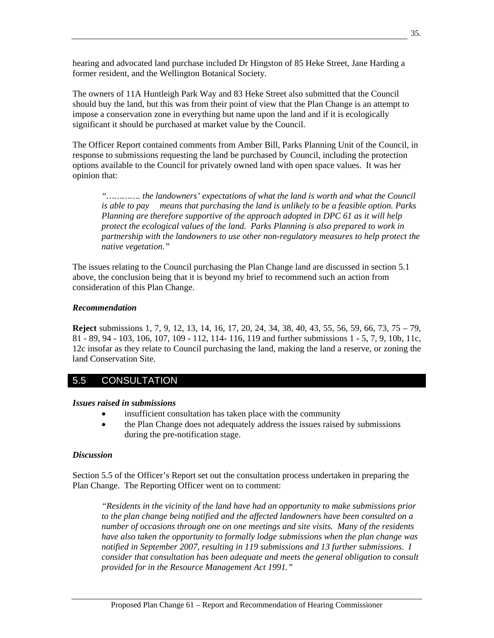hearing and advocated land purchase included Dr Hingston of 85 Heke Street, Jane Harding a former resident, and the Wellington Botanical Society.

The owners of 11A Huntleigh Park Way and 83 Heke Street also submitted that the Council should buy the land, but this was from their point of view that the Plan Change is an attempt to impose a conservation zone in everything but name upon the land and if it is ecologically significant it should be purchased at market value by the Council.

The Officer Report contained comments from Amber Bill, Parks Planning Unit of the Council, in response to submissions requesting the land be purchased by Council, including the protection options available to the Council for privately owned land with open space values. It was her opinion that:

*"…………. the landowners' expectations of what the land is worth and what the Council is able to pay means that purchasing the land is unlikely to be a feasible option. Parks Planning are therefore supportive of the approach adopted in DPC 61 as it will help protect the ecological values of the land. Parks Planning is also prepared to work in partnership with the landowners to use other non-regulatory measures to help protect the native vegetation."* 

The issues relating to the Council purchasing the Plan Change land are discussed in section 5.1 above, the conclusion being that it is beyond my brief to recommend such an action from consideration of this Plan Change.

## *Recommendation*

**Reject** submissions 1, 7, 9, 12, 13, 14, 16, 17, 20, 24, 34, 38, 40, 43, 55, 56, 59, 66, 73, 75 – 79, 81 - 89, 94 - 103, 106, 107, 109 - 112, 114- 116, 119 and further submissions 1 - 5, 7, 9, 10b, 11c, 12c insofar as they relate to Council purchasing the land, making the land a reserve, or zoning the land Conservation Site.

# 5.5 CONSULTATION

#### *Issues raised in submissions*

- insufficient consultation has taken place with the community
- the Plan Change does not adequately address the issues raised by submissions during the pre-notification stage.

#### *Discussion*

Section 5.5 of the Officer's Report set out the consultation process undertaken in preparing the Plan Change. The Reporting Officer went on to comment:

*"Residents in the vicinity of the land have had an opportunity to make submissions prior to the plan change being notified and the affected landowners have been consulted on a number of occasions through one on one meetings and site visits. Many of the residents have also taken the opportunity to formally lodge submissions when the plan change was notified in September 2007, resulting in 119 submissions and 13 further submissions. I consider that consultation has been adequate and meets the general obligation to consult provided for in the Resource Management Act 1991."*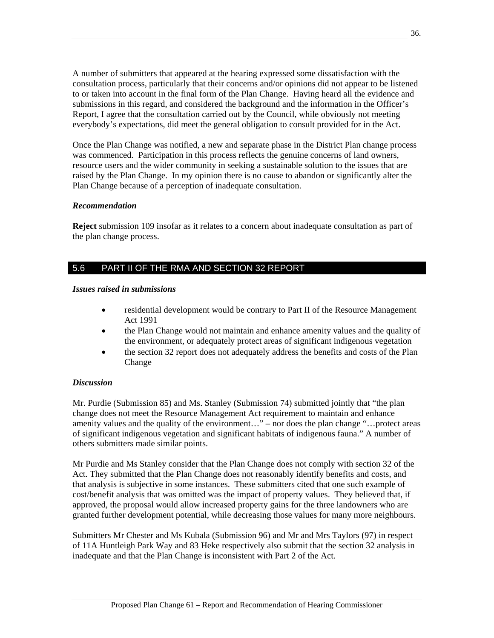A number of submitters that appeared at the hearing expressed some dissatisfaction with the consultation process, particularly that their concerns and/or opinions did not appear to be listened to or taken into account in the final form of the Plan Change. Having heard all the evidence and submissions in this regard, and considered the background and the information in the Officer's Report, I agree that the consultation carried out by the Council, while obviously not meeting everybody's expectations, did meet the general obligation to consult provided for in the Act.

Once the Plan Change was notified, a new and separate phase in the District Plan change process was commenced. Participation in this process reflects the genuine concerns of land owners, resource users and the wider community in seeking a sustainable solution to the issues that are raised by the Plan Change. In my opinion there is no cause to abandon or significantly alter the Plan Change because of a perception of inadequate consultation.

#### *Recommendation*

**Reject** submission 109 insofar as it relates to a concern about inadequate consultation as part of the plan change process.

## 5.6 PART II OF THE RMA AND SECTION 32 REPORT

#### *Issues raised in submissions*

- residential development would be contrary to Part II of the Resource Management Act 1991
- the Plan Change would not maintain and enhance amenity values and the quality of the environment, or adequately protect areas of significant indigenous vegetation
- the section 32 report does not adequately address the benefits and costs of the Plan Change

#### *Discussion*

Mr. Purdie (Submission 85) and Ms. Stanley (Submission 74) submitted jointly that "the plan change does not meet the Resource Management Act requirement to maintain and enhance amenity values and the quality of the environment…" – nor does the plan change "…protect areas of significant indigenous vegetation and significant habitats of indigenous fauna." A number of others submitters made similar points.

Mr Purdie and Ms Stanley consider that the Plan Change does not comply with section 32 of the Act. They submitted that the Plan Change does not reasonably identify benefits and costs, and that analysis is subjective in some instances. These submitters cited that one such example of cost/benefit analysis that was omitted was the impact of property values. They believed that, if approved, the proposal would allow increased property gains for the three landowners who are granted further development potential, while decreasing those values for many more neighbours.

Submitters Mr Chester and Ms Kubala (Submission 96) and Mr and Mrs Taylors (97) in respect of 11A Huntleigh Park Way and 83 Heke respectively also submit that the section 32 analysis in inadequate and that the Plan Change is inconsistent with Part 2 of the Act.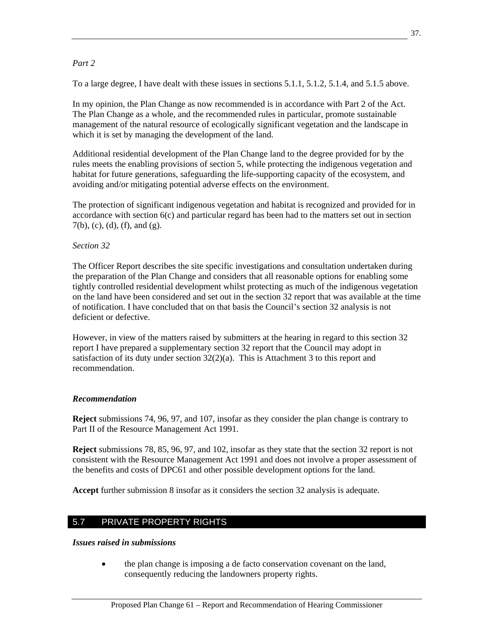## *Part 2*

To a large degree, I have dealt with these issues in sections 5.1.1, 5.1.2, 5.1.4, and 5.1.5 above.

In my opinion, the Plan Change as now recommended is in accordance with Part 2 of the Act. The Plan Change as a whole, and the recommended rules in particular, promote sustainable management of the natural resource of ecologically significant vegetation and the landscape in which it is set by managing the development of the land.

Additional residential development of the Plan Change land to the degree provided for by the rules meets the enabling provisions of section 5, while protecting the indigenous vegetation and habitat for future generations, safeguarding the life-supporting capacity of the ecosystem, and avoiding and/or mitigating potential adverse effects on the environment.

The protection of significant indigenous vegetation and habitat is recognized and provided for in accordance with section 6(c) and particular regard has been had to the matters set out in section  $7(b)$ , (c), (d), (f), and (g).

## *Section 32*

The Officer Report describes the site specific investigations and consultation undertaken during the preparation of the Plan Change and considers that all reasonable options for enabling some tightly controlled residential development whilst protecting as much of the indigenous vegetation on the land have been considered and set out in the section 32 report that was available at the time of notification. I have concluded that on that basis the Council's section 32 analysis is not deficient or defective.

However, in view of the matters raised by submitters at the hearing in regard to this section 32 report I have prepared a supplementary section 32 report that the Council may adopt in satisfaction of its duty under section 32(2)(a). This is Attachment 3 to this report and recommendation.

# *Recommendation*

**Reject** submissions 74, 96, 97, and 107, insofar as they consider the plan change is contrary to Part II of the Resource Management Act 1991.

**Reject** submissions 78, 85, 96, 97, and 102, insofar as they state that the section 32 report is not consistent with the Resource Management Act 1991 and does not involve a proper assessment of the benefits and costs of DPC61 and other possible development options for the land.

**Accept** further submission 8 insofar as it considers the section 32 analysis is adequate.

# 5.7 PRIVATE PROPERTY RIGHTS

*Issues raised in submissions* 

• the plan change is imposing a de facto conservation covenant on the land, consequently reducing the landowners property rights.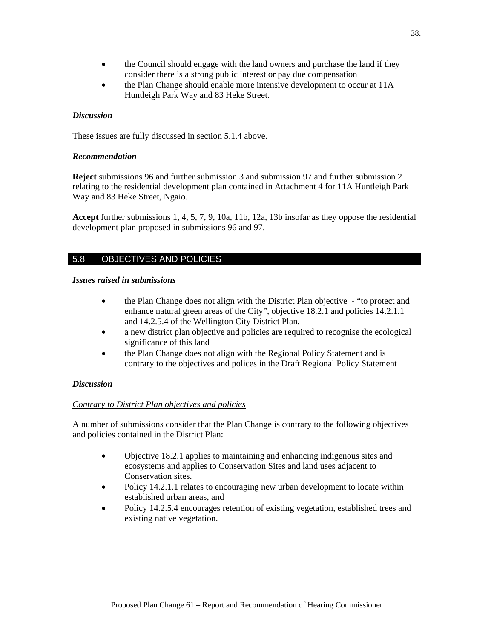- the Council should engage with the land owners and purchase the land if they consider there is a strong public interest or pay due compensation
- the Plan Change should enable more intensive development to occur at 11A Huntleigh Park Way and 83 Heke Street.

#### *Discussion*

These issues are fully discussed in section 5.1.4 above.

#### *Recommendation*

**Reject** submissions 96 and further submission 3 and submission 97 and further submission 2 relating to the residential development plan contained in Attachment 4 for 11A Huntleigh Park Way and 83 Heke Street, Ngaio.

**Accept** further submissions 1, 4, 5, 7, 9, 10a, 11b, 12a, 13b insofar as they oppose the residential development plan proposed in submissions 96 and 97.

# 5.8 OBJECTIVES AND POLICIES

#### *Issues raised in submissions*

- the Plan Change does not align with the District Plan objective "to protect and enhance natural green areas of the City", objective 18.2.1 and policies 14.2.1.1 and 14.2.5.4 of the Wellington City District Plan,
- a new district plan objective and policies are required to recognise the ecological significance of this land
- the Plan Change does not align with the Regional Policy Statement and is contrary to the objectives and polices in the Draft Regional Policy Statement

#### *Discussion*

#### *Contrary to District Plan objectives and policies*

A number of submissions consider that the Plan Change is contrary to the following objectives and policies contained in the District Plan:

- Objective 18.2.1 applies to maintaining and enhancing indigenous sites and ecosystems and applies to Conservation Sites and land uses adjacent to Conservation sites.
- Policy 14.2.1.1 relates to encouraging new urban development to locate within established urban areas, and
- Policy 14.2.5.4 encourages retention of existing vegetation, established trees and existing native vegetation.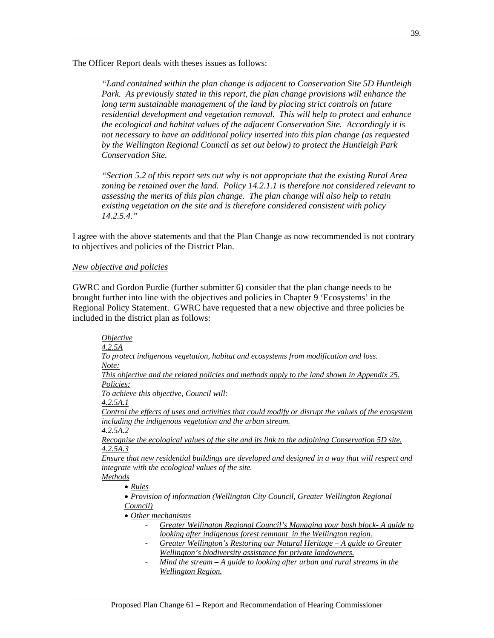The Officer Report deals with theses issues as follows:

*"Land contained within the plan change is adjacent to Conservation Site 5D Huntleigh Park. As previously stated in this report, the plan change provisions will enhance the long term sustainable management of the land by placing strict controls on future residential development and vegetation removal. This will help to protect and enhance the ecological and habitat values of the adjacent Conservation Site. Accordingly it is not necessary to have an additional policy inserted into this plan change (as requested by the Wellington Regional Council as set out below) to protect the Huntleigh Park Conservation Site.* 

*"Section 5.2 of this report sets out why is not appropriate that the existing Rural Area zoning be retained over the land. Policy 14.2.1.1 is therefore not considered relevant to assessing the merits of this plan change. The plan change will also help to retain existing vegetation on the site and is therefore considered consistent with policy 14.2.5.4."* 

I agree with the above statements and that the Plan Change as now recommended is not contrary to objectives and policies of the District Plan.

#### *New objective and policies*

GWRC and Gordon Purdie (further submitter 6) consider that the plan change needs to be brought further into line with the objectives and policies in Chapter 9 'Ecosystems' in the Regional Policy Statement. GWRC have requested that a new objective and three policies be included in the district plan as follows:

| <i>Objective</i>                                                                                       |
|--------------------------------------------------------------------------------------------------------|
| 4.2.5A                                                                                                 |
| To protect indigenous vegetation, habitat and ecosystems from modification and loss.                   |
| Note:                                                                                                  |
| This objective and the related policies and methods apply to the land shown in Appendix 25.            |
| <i>Policies:</i>                                                                                       |
| To achieve this objective, Council will:                                                               |
| 4.2.5A.1                                                                                               |
| Control the effects of uses and activities that could modify or disrupt the values of the ecosystem    |
| including the indigenous vegetation and the urban stream.                                              |
| 4.2.5A.2                                                                                               |
| Recognise the ecological values of the site and its link to the adjoining Conservation 5D site.        |
| 4.2.5A.3                                                                                               |
| <u>Ensure that new residential buildings are developed and designed in a way that will respect and</u> |
| integrate with the ecological values of the site.                                                      |
| Methods                                                                                                |
| $\bullet$ Rules                                                                                        |
| • Provision of information (Wellington City Council, Greater Wellington Regional                       |
| Council)                                                                                               |
| $\bullet$ Other mechanisms                                                                             |
| Greater Wellington Regional Council's Managing your bush block-A guide to                              |
| looking after indigenous forest remnant in the Wellington region.                                      |
| <u>Greater Wellington's Restoring our Natural Heritage – A guide to Greater</u><br>٠                   |
| Wellington's biodiversity assistance for private landowners.                                           |
|                                                                                                        |

*Mind the stream – A guide to looking after urban and rural streams in the Wellington Region.*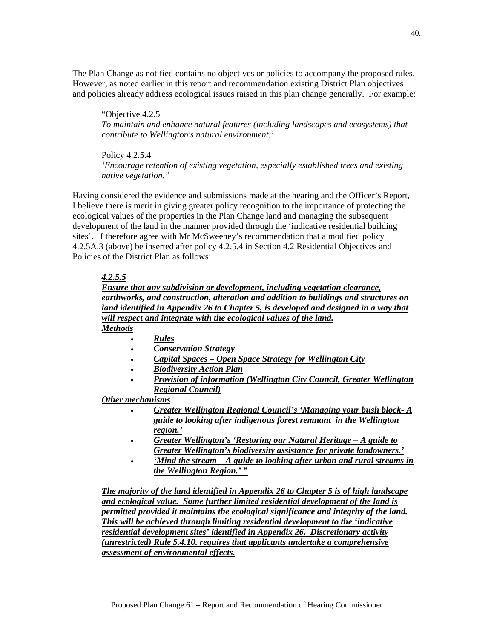The Plan Change as notified contains no objectives or policies to accompany the proposed rules. However, as noted earlier in this report and recommendation existing District Plan objectives and policies already address ecological issues raised in this plan change generally. For example:

"Objective 4.2.5 *To maintain and enhance natural features (including landscapes and ecosystems) that contribute to Wellington's natural environment.'* 

Policy 4.2.5.4 *'Encourage retention of existing vegetation, especially established trees and existing native vegetation."* 

Having considered the evidence and submissions made at the hearing and the Officer's Report, I believe there is merit in giving greater policy recognition to the importance of protecting the ecological values of the properties in the Plan Change land and managing the subsequent development of the land in the manner provided through the 'indicative residential building sites'. I therefore agree with Mr McSweeney's recommendation that a modified policy 4.2.5A.3 (above) be inserted after policy 4.2.5.4 in Section 4.2 Residential Objectives and Policies of the District Plan as follows:

#### *4.2.5.5*

*Ensure that any subdivision or development, including vegetation clearance, earthworks, and construction, alteration and addition to buildings and structures on*  land identified in Appendix 26 to Chapter 5, is developed and designed in a way that *will respect and integrate with the ecological values of the land.*

*Methods*

• *Rules*

- *Conservation Strategy*
- *Capital Spaces Open Space Strategy for Wellington City*
- *Biodiversity Action Plan*
- *Provision of information (Wellington City Council, Greater Wellington Regional Council)*

*Other mechanisms*

- *Greater Wellington Regional Council's 'Managing your bush block- A guide to looking after indigenous forest remnant in the Wellington region.'*
- *Greater Wellington's 'Restoring our Natural Heritage A guide to Greater Wellington's biodiversity assistance for private landowners.'*
- *'Mind the stream A guide to looking after urban and rural streams in the Wellington Region.' "*

*The majority of the land identified in Appendix 26 to Chapter 5 is of high landscape and ecological value. Some further limited residential development of the land is permitted provided it maintains the ecological significance and integrity of the land. This will be achieved through limiting residential development to the 'indicative residential development sites' identified in Appendix 26. Discretionary activity (unrestricted) Rule 5.4.10. requires that applicants undertake a comprehensive assessment of environmental effects.*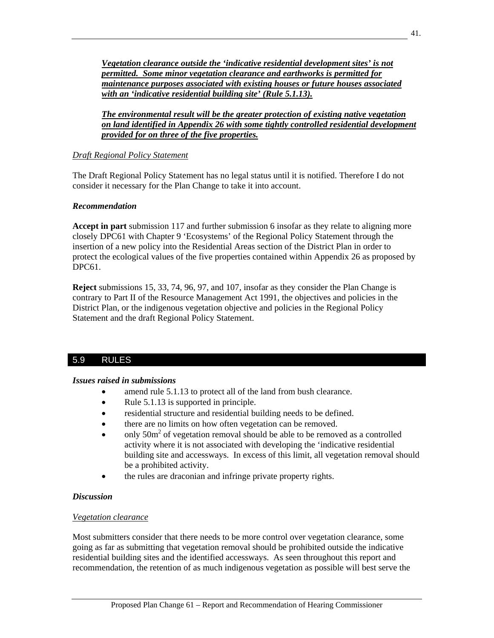*Vegetation clearance outside the 'indicative residential development sites' is not permitted. Some minor vegetation clearance and earthworks is permitted for maintenance purposes associated with existing houses or future houses associated with an 'indicative residential building site' (Rule 5.1.13).*

*The environmental result will be the greater protection of existing native vegetation on land identified in Appendix 26 with some tightly controlled residential development provided for on three of the five properties.*

## *Draft Regional Policy Statement*

The Draft Regional Policy Statement has no legal status until it is notified. Therefore I do not consider it necessary for the Plan Change to take it into account.

## *Recommendation*

**Accept in part** submission 117 and further submission 6 insofar as they relate to aligning more closely DPC61 with Chapter 9 'Ecosystems' of the Regional Policy Statement through the insertion of a new policy into the Residential Areas section of the District Plan in order to protect the ecological values of the five properties contained within Appendix 26 as proposed by DPC61.

**Reject** submissions 15, 33, 74, 96, 97, and 107, insofar as they consider the Plan Change is contrary to Part II of the Resource Management Act 1991, the objectives and policies in the District Plan, or the indigenous vegetation objective and policies in the Regional Policy Statement and the draft Regional Policy Statement.

# 5.9 RULES

#### *Issues raised in submissions*

- amend rule 5.1.13 to protect all of the land from bush clearance.
- Rule 5.1.13 is supported in principle.
- residential structure and residential building needs to be defined.
- there are no limits on how often vegetation can be removed.
- only  $50m^2$  of vegetation removal should be able to be removed as a controlled activity where it is not associated with developing the 'indicative residential building site and accessways. In excess of this limit, all vegetation removal should be a prohibited activity.
- the rules are draconian and infringe private property rights.

## *Discussion*

#### *Vegetation clearance*

Most submitters consider that there needs to be more control over vegetation clearance, some going as far as submitting that vegetation removal should be prohibited outside the indicative residential building sites and the identified accessways. As seen throughout this report and recommendation, the retention of as much indigenous vegetation as possible will best serve the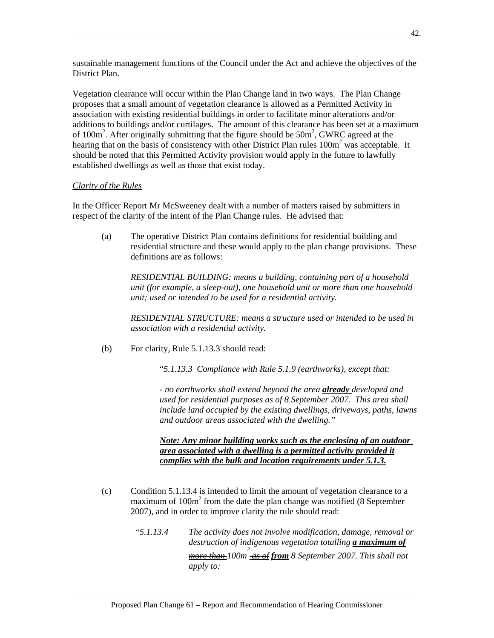sustainable management functions of the Council under the Act and achieve the objectives of the District Plan.

Vegetation clearance will occur within the Plan Change land in two ways. The Plan Change proposes that a small amount of vegetation clearance is allowed as a Permitted Activity in association with existing residential buildings in order to facilitate minor alterations and/or additions to buildings and/or curtilages. The amount of this clearance has been set at a maximum of  $100m^2$ . After originally submitting that the figure should be  $50m^2$ , GWRC agreed at the hearing that on the basis of consistency with other District Plan rules 100m<sup>2</sup> was acceptable. It should be noted that this Permitted Activity provision would apply in the future to lawfully established dwellings as well as those that exist today.

#### *Clarity of the Rules*

In the Officer Report Mr McSweeney dealt with a number of matters raised by submitters in respect of the clarity of the intent of the Plan Change rules. He advised that:

 (a) The operative District Plan contains definitions for residential building and residential structure and these would apply to the plan change provisions. These definitions are as follows:

 *RESIDENTIAL BUILDING: means a building, containing part of a household unit (for example, a sleep-out), one household unit or more than one household unit; used or intended to be used for a residential activity.* 

 *RESIDENTIAL STRUCTURE: means a structure used or intended to be used in association with a residential activity.* 

(b) For clarity, Rule 5.1.13.3 should read:

"*5.1.13.3 Compliance with Rule 5.1.9 (earthworks), except that:* 

 *- no earthworks shall extend beyond the area already developed and used for residential purposes as of 8 September 2007. This area shall include land occupied by the existing dwellings, driveways, paths, lawns and outdoor areas associated with the dwelling."* 

 *Note: Any minor building works such as the enclosing of an outdoor area associated with a dwelling is a permitted activity provided it complies with the bulk and location requirements under 5.1.3.*

- (c) Condition 5.1.13.4 is intended to limit the amount of vegetation clearance to a maximum of 100m<sup>2</sup> from the date the plan change was notified (8 September 2007), and in order to improve clarity the rule should read:
- *"5.1.13.4 The activity does not involve modification, damage, removal or destruction of indigenous vegetation totalling a maximum of more than 100m 2 as of from 8 September 2007. This shall not apply to:*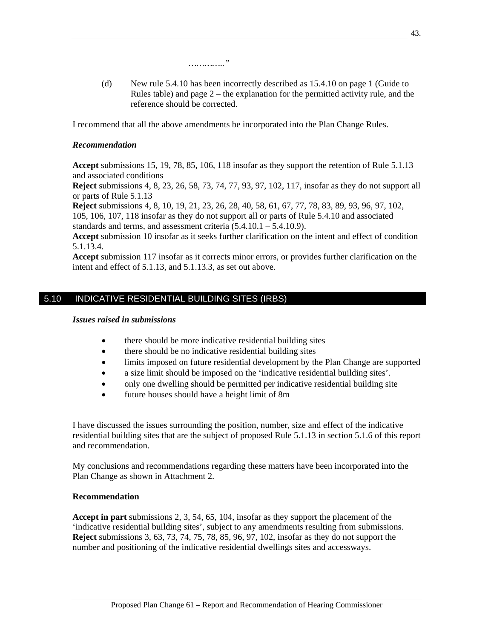*………….."* 

 (d) New rule 5.4.10 has been incorrectly described as 15.4.10 on page 1 (Guide to Rules table) and page  $2$  – the explanation for the permitted activity rule, and the reference should be corrected.

I recommend that all the above amendments be incorporated into the Plan Change Rules.

## *Recommendation*

**Accept** submissions 15, 19, 78, 85, 106, 118 insofar as they support the retention of Rule 5.1.13 and associated conditions

**Reject** submissions 4, 8, 23, 26, 58, 73, 74, 77, 93, 97, 102, 117, insofar as they do not support all or parts of Rule 5.1.13

**Reject** submissions 4, 8, 10, 19, 21, 23, 26, 28, 40, 58, 61, 67, 77, 78, 83, 89, 93, 96, 97, 102, 105, 106, 107, 118 insofar as they do not support all or parts of Rule 5.4.10 and associated standards and terms, and assessment criteria  $(5.4.10.1 - 5.4.10.9)$ .

**Accept** submission 10 insofar as it seeks further clarification on the intent and effect of condition 5.1.13.4.

**Accept** submission 117 insofar as it corrects minor errors, or provides further clarification on the intent and effect of 5.1.13, and 5.1.13.3, as set out above.

# 5.10 INDICATIVE RESIDENTIAL BUILDING SITES (IRBS)

#### *Issues raised in submissions*

- there should be more indicative residential building sites
- there should be no indicative residential building sites
- limits imposed on future residential development by the Plan Change are supported
- a size limit should be imposed on the 'indicative residential building sites'.
- only one dwelling should be permitted per indicative residential building site
- future houses should have a height limit of 8m

I have discussed the issues surrounding the position, number, size and effect of the indicative residential building sites that are the subject of proposed Rule 5.1.13 in section 5.1.6 of this report and recommendation.

My conclusions and recommendations regarding these matters have been incorporated into the Plan Change as shown in Attachment 2.

#### **Recommendation**

**Accept in part** submissions 2, 3, 54, 65, 104, insofar as they support the placement of the 'indicative residential building sites', subject to any amendments resulting from submissions. **Reject** submissions 3, 63, 73, 74, 75, 78, 85, 96, 97, 102, insofar as they do not support the number and positioning of the indicative residential dwellings sites and accessways.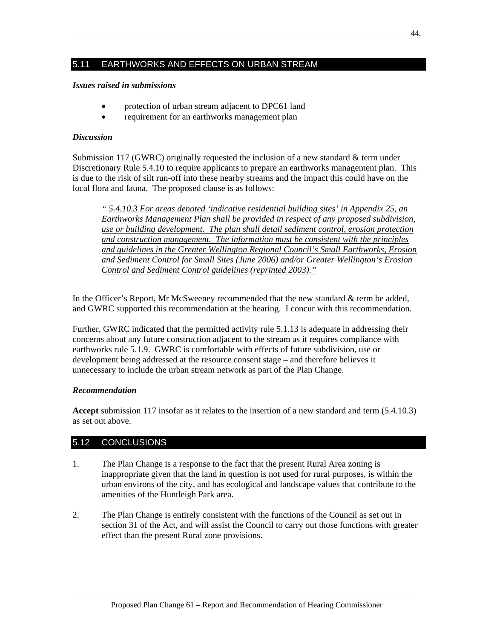# 5.11 EARTHWORKS AND EFFECTS ON URBAN STREAM

#### *Issues raised in submissions*

- protection of urban stream adjacent to DPC61 land
- requirement for an earthworks management plan

#### *Discussion*

Submission 117 (GWRC) originally requested the inclusion of a new standard  $\&$  term under Discretionary Rule 5.4.10 to require applicants to prepare an earthworks management plan. This is due to the risk of silt run-off into these nearby streams and the impact this could have on the local flora and fauna. The proposed clause is as follows:

*" 5.4.10.3 For areas denoted 'indicative residential building sites' in Appendix 25, an Earthworks Management Plan shall be provided in respect of any proposed subdivision, use or building development. The plan shall detail sediment control, erosion protection and construction management. The information must be consistent with the principles and guidelines in the Greater Wellington Regional Council's Small Earthworks, Erosion and Sediment Control for Small Sites (June 2006) and/or Greater Wellington's Erosion Control and Sediment Control guidelines (reprinted 2003)."*

In the Officer's Report, Mr McSweeney recommended that the new standard & term be added, and GWRC supported this recommendation at the hearing. I concur with this recommendation.

Further, GWRC indicated that the permitted activity rule 5.1.13 is adequate in addressing their concerns about any future construction adjacent to the stream as it requires compliance with earthworks rule 5.1.9. GWRC is comfortable with effects of future subdivision, use or development being addressed at the resource consent stage – and therefore believes it unnecessary to include the urban stream network as part of the Plan Change.

#### *Recommendation*

**Accept** submission 117 insofar as it relates to the insertion of a new standard and term (5.4.10.3) as set out above.

# 5.12 CONCLUSIONS

- 1. The Plan Change is a response to the fact that the present Rural Area zoning is inappropriate given that the land in question is not used for rural purposes, is within the urban environs of the city, and has ecological and landscape values that contribute to the amenities of the Huntleigh Park area.
- 2. The Plan Change is entirely consistent with the functions of the Council as set out in section 31 of the Act, and will assist the Council to carry out those functions with greater effect than the present Rural zone provisions.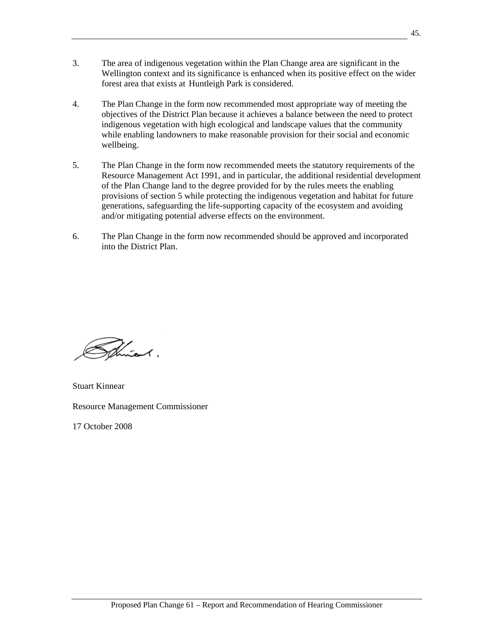- 3. The area of indigenous vegetation within the Plan Change area are significant in the Wellington context and its significance is enhanced when its positive effect on the wider forest area that exists at Huntleigh Park is considered.
- 4. The Plan Change in the form now recommended most appropriate way of meeting the objectives of the District Plan because it achieves a balance between the need to protect indigenous vegetation with high ecological and landscape values that the community while enabling landowners to make reasonable provision for their social and economic wellbeing.
- 5. The Plan Change in the form now recommended meets the statutory requirements of the Resource Management Act 1991, and in particular, the additional residential development of the Plan Change land to the degree provided for by the rules meets the enabling provisions of section 5 while protecting the indigenous vegetation and habitat for future generations, safeguarding the life-supporting capacity of the ecosystem and avoiding and/or mitigating potential adverse effects on the environment.
- 6. The Plan Change in the form now recommended should be approved and incorporated into the District Plan.

Ffinent.

Stuart Kinnear Resource Management Commissioner

17 October 2008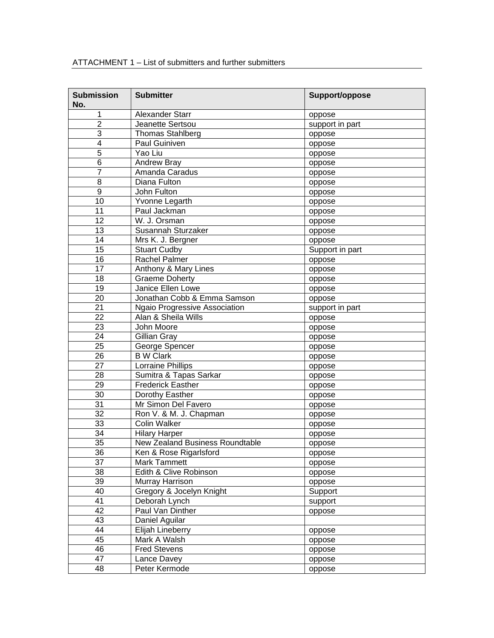| <b>Submission</b><br>No. | <b>Submitter</b>                     | Support/oppose  |
|--------------------------|--------------------------------------|-----------------|
| 1                        | Alexander Starr                      | oppose          |
| $\overline{2}$           | Jeanette Sertsou                     | support in part |
| 3                        | <b>Thomas Stahlberg</b>              | oppose          |
| 4                        | Paul Guiniven                        | oppose          |
| 5                        | Yao Liu                              | oppose          |
| 6                        | <b>Andrew Bray</b>                   | oppose          |
| $\overline{7}$           | Amanda Caradus                       | oppose          |
| 8                        | Diana Fulton                         | oppose          |
| 9                        | John Fulton                          | oppose          |
| 10                       | Yvonne Legarth                       | oppose          |
| 11                       | Paul Jackman                         | oppose          |
| 12                       | W. J. Orsman                         | oppose          |
| 13                       | Susannah Sturzaker                   | oppose          |
| 14                       | Mrs K. J. Bergner                    | oppose          |
| 15                       | <b>Stuart Cudby</b>                  | Support in part |
| 16                       | Rachel Palmer                        | oppose          |
| 17                       | Anthony & Mary Lines                 | oppose          |
| 18                       | <b>Graeme Doherty</b>                | oppose          |
| 19                       | Janice Ellen Lowe                    | oppose          |
| 20                       | Jonathan Cobb & Emma Samson          | oppose          |
| 21                       | <b>Ngaio Progressive Association</b> | support in part |
| 22                       | Alan & Sheila Wills                  | oppose          |
| 23                       | John Moore                           | oppose          |
| 24                       | Gillian Gray                         | oppose          |
| 25                       | George Spencer                       | oppose          |
| 26                       | <b>B</b> W Clark                     | oppose          |
| 27                       | Lorraine Phillips                    | oppose          |
| 28                       | Sumitra & Tapas Sarkar               | oppose          |
| 29                       | <b>Frederick Easther</b>             | oppose          |
| 30                       | Dorothy Easther                      | oppose          |
| 31                       | Mr Simon Del Favero                  | oppose          |
| 32                       | Ron V. & M. J. Chapman               | oppose          |
| 33                       | Colin Walker                         | oppose          |
| 34                       | <b>Hilary Harper</b>                 | oppose          |
| 35                       | New Zealand Business Roundtable      | oppose          |
| 36                       | Ken & Rose Rigarlsford               | oppose          |
| 37                       | <b>Mark Tammett</b>                  | oppose          |
| 38                       | Edith & Clive Robinson               | oppose          |
| 39                       | Murray Harrison                      | oppose          |
| 40                       | Gregory & Jocelyn Knight             | Support         |
| 41                       | Deborah Lynch                        | support         |
| 42                       | Paul Van Dinther                     | oppose          |
| 43                       | Daniel Aguilar                       |                 |
| 44                       | Elijah Lineberry                     | oppose          |
| 45                       | Mark A Walsh                         | oppose          |
| 46                       | <b>Fred Stevens</b>                  | oppose          |
| 47                       | Lance Davey                          | oppose          |
| 48                       | Peter Kermode                        | oppose          |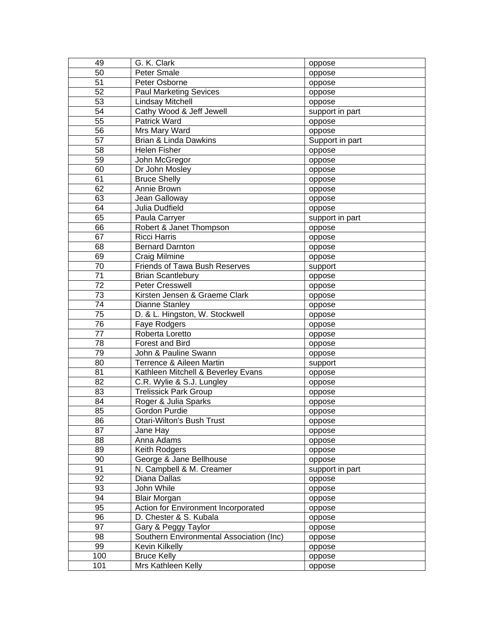| 49              | G. K. Clark                              | oppose          |
|-----------------|------------------------------------------|-----------------|
| 50              | Peter Smale                              | oppose          |
| $\overline{51}$ | Peter Osborne                            | oppose          |
| $\overline{52}$ | <b>Paul Marketing Sevices</b>            | oppose          |
| 53              | Lindsay Mitchell                         | oppose          |
| $\overline{54}$ | Cathy Wood & Jeff Jewell                 | support in part |
| $\overline{55}$ | Patrick Ward                             | oppose          |
| $\overline{56}$ | Mrs Mary Ward                            | oppose          |
| $\overline{57}$ | <b>Brian &amp; Linda Dawkins</b>         | Support in part |
| 58              | <b>Helen Fisher</b>                      | oppose          |
| 59              | John McGregor                            | oppose          |
| 60              | Dr John Mosley                           | oppose          |
| 61              | <b>Bruce Shelly</b>                      | oppose          |
| 62              | Annie Brown                              | oppose          |
| 63              | Jean Galloway                            | oppose          |
| 64              | Julia Dudfield                           | oppose          |
| 65              | Paula Carryer                            | support in part |
| 66              | Robert & Janet Thompson                  | oppose          |
| 67              | <b>Ricci Harris</b>                      | oppose          |
| 68              | <b>Bernard Darnton</b>                   | oppose          |
| 69              | Craig Milmine                            | oppose          |
| $\overline{70}$ | Friends of Tawa Bush Reserves            | support         |
| $\overline{71}$ | <b>Brian Scantlebury</b>                 | oppose          |
| 72              | <b>Peter Cresswell</b>                   | oppose          |
| 73              | Kirsten Jensen & Graeme Clark            | oppose          |
| 74              | <b>Dianne Stanley</b>                    | oppose          |
| $\overline{75}$ | D. & L. Hingston, W. Stockwell           | oppose          |
| 76              | Faye Rodgers                             | oppose          |
| $\overline{77}$ | Roberta Loretto                          | oppose          |
| 78              | Forest and Bird                          | oppose          |
| 79              | John & Pauline Swann                     | oppose          |
| 80              | Terrence & Aileen Martin                 | support         |
| 81              | Kathleen Mitchell & Beverley Evans       | oppose          |
| 82              | C.R. Wylie & S.J. Lungley                | oppose          |
| 83              | <b>Trelissick Park Group</b>             | oppose          |
| 84              | Roger & Julia Sparks                     | oppose          |
| 85              | Gordon Purdie                            | oppose          |
| 86              | Otari-Wilton's Bush Trust                | oppose          |
| 87              | Jane Hay                                 | oppose          |
| 88              | Anna Adams                               | oppose          |
| 89              | Keith Rodgers                            | oppose          |
| 90              | George & Jane Bellhouse                  | oppose          |
| 91              | N. Campbell & M. Creamer                 | support in part |
| 92              | Diana Dallas                             | oppose          |
| 93              | John While                               | oppose          |
| 94              | <b>Blair Morgan</b>                      | oppose          |
| 95              | Action for Environment Incorporated      | oppose          |
| 96              | D. Chester & S. Kubala                   | oppose          |
| 97              | Gary & Peggy Taylor                      | oppose          |
| 98              | Southern Environmental Association (Inc) | oppose          |
| 99              | <b>Kevin Kilkelly</b>                    | oppose          |
| 100             | <b>Bruce Kelly</b>                       | oppose          |
| 101             | Mrs Kathleen Kelly                       | oppose          |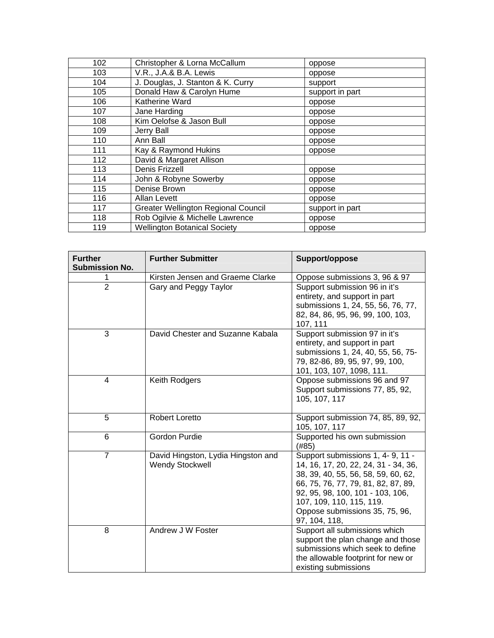| 102 | Christopher & Lorna McCallum               | oppose          |
|-----|--------------------------------------------|-----------------|
| 103 | V.R., J.A.& B.A. Lewis                     | oppose          |
| 104 | J. Douglas, J. Stanton & K. Curry          | support         |
| 105 | Donald Haw & Carolyn Hume                  | support in part |
| 106 | <b>Katherine Ward</b>                      | oppose          |
| 107 | Jane Harding                               | oppose          |
| 108 | Kim Oelofse & Jason Bull                   | oppose          |
| 109 | Jerry Ball                                 | oppose          |
| 110 | Ann Ball                                   | oppose          |
| 111 | Kay & Raymond Hukins                       | oppose          |
| 112 | David & Margaret Allison                   |                 |
| 113 | Denis Frizzell                             | oppose          |
| 114 | John & Robyne Sowerby                      | oppose          |
| 115 | Denise Brown                               | oppose          |
| 116 | Allan Levett                               | oppose          |
| 117 | <b>Greater Wellington Regional Council</b> | support in part |
| 118 | Rob Ogilvie & Michelle Lawrence            | oppose          |
| 119 | <b>Wellington Botanical Society</b>        | oppose          |

| <b>Further</b><br><b>Submission No.</b> | <b>Further Submitter</b>                                     | Support/oppose                                                                                                                                                                                                                                                            |
|-----------------------------------------|--------------------------------------------------------------|---------------------------------------------------------------------------------------------------------------------------------------------------------------------------------------------------------------------------------------------------------------------------|
| 1                                       | Kirsten Jensen and Graeme Clarke                             | Oppose submissions 3, 96 & 97                                                                                                                                                                                                                                             |
| $\overline{2}$                          | Gary and Peggy Taylor                                        | Support submission 96 in it's<br>entirety, and support in part<br>submissions 1, 24, 55, 56, 76, 77,<br>82, 84, 86, 95, 96, 99, 100, 103,<br>107, 111                                                                                                                     |
| 3                                       | David Chester and Suzanne Kabala                             | Support submission 97 in it's<br>entirety, and support in part<br>submissions 1, 24, 40, 55, 56, 75-<br>79, 82-86, 89, 95, 97, 99, 100,<br>101, 103, 107, 1098, 111.                                                                                                      |
| 4                                       | Keith Rodgers                                                | Oppose submissions 96 and 97<br>Support submissions 77, 85, 92,<br>105, 107, 117                                                                                                                                                                                          |
| 5                                       | <b>Robert Loretto</b>                                        | Support submission 74, 85, 89, 92,<br>105, 107, 117                                                                                                                                                                                                                       |
| 6                                       | Gordon Purdie                                                | Supported his own submission<br>(#85)                                                                                                                                                                                                                                     |
| $\overline{7}$                          | David Hingston, Lydia Hingston and<br><b>Wendy Stockwell</b> | Support submissions 1, 4-9, 11 -<br>14, 16, 17, 20, 22, 24, 31 - 34, 36,<br>38, 39, 40, 55, 56, 58, 59, 60, 62,<br>66, 75, 76, 77, 79, 81, 82, 87, 89,<br>92, 95, 98, 100, 101 - 103, 106,<br>107, 109, 110, 115, 119.<br>Oppose submissions 35, 75, 96,<br>97, 104, 118, |
| 8                                       | Andrew J W Foster                                            | Support all submissions which<br>support the plan change and those<br>submissions which seek to define<br>the allowable footprint for new or<br>existing submissions                                                                                                      |